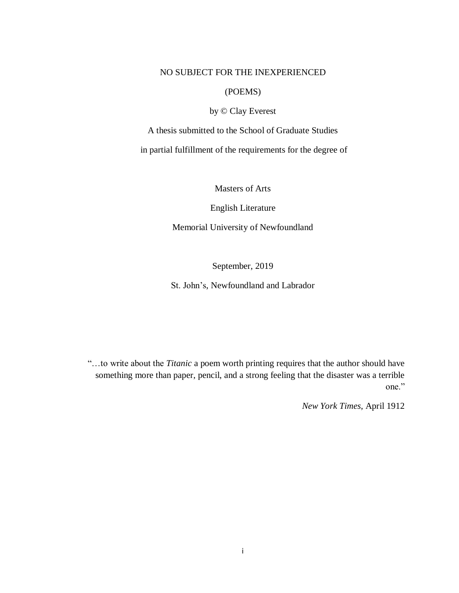## NO SUBJECT FOR THE INEXPERIENCED

## (POEMS)

# by © Clay Everest

A thesis submitted to the School of Graduate Studies

in partial fulfillment of the requirements for the degree of

Masters of Arts

English Literature

Memorial University of Newfoundland

September, 2019

St. John's, Newfoundland and Labrador

"…to write about the *Titanic* a poem worth printing requires that the author should have something more than paper, pencil, and a strong feeling that the disaster was a terrible one."

*New York Times*, April 1912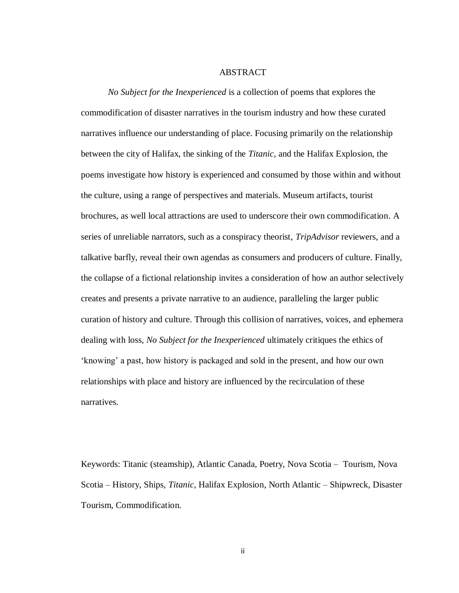#### ABSTRACT

*No Subject for the Inexperienced* is a collection of poems that explores the commodification of disaster narratives in the tourism industry and how these curated narratives influence our understanding of place. Focusing primarily on the relationship between the city of Halifax, the sinking of the *Titanic*, and the Halifax Explosion, the poems investigate how history is experienced and consumed by those within and without the culture, using a range of perspectives and materials. Museum artifacts, tourist brochures, as well local attractions are used to underscore their own commodification. A series of unreliable narrators, such as a conspiracy theorist, *TripAdvisor* reviewers, and a talkative barfly, reveal their own agendas as consumers and producers of culture. Finally, the collapse of a fictional relationship invites a consideration of how an author selectively creates and presents a private narrative to an audience, paralleling the larger public curation of history and culture. Through this collision of narratives, voices, and ephemera dealing with loss, *No Subject for the Inexperienced* ultimately critiques the ethics of 'knowing' a past, how history is packaged and sold in the present, and how our own relationships with place and history are influenced by the recirculation of these narratives.

Keywords: Titanic (steamship), Atlantic Canada, Poetry, Nova Scotia – Tourism, Nova Scotia – History, Ships, *Titanic*, Halifax Explosion, North Atlantic – Shipwreck, Disaster Tourism, Commodification.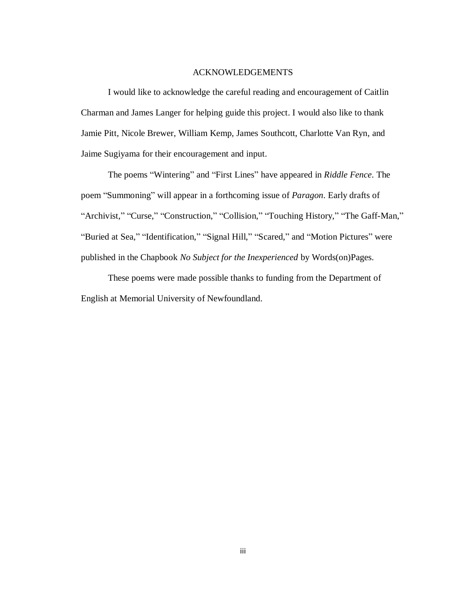## ACKNOWLEDGEMENTS

I would like to acknowledge the careful reading and encouragement of Caitlin Charman and James Langer for helping guide this project. I would also like to thank Jamie Pitt, Nicole Brewer, William Kemp, James Southcott, Charlotte Van Ryn, and Jaime Sugiyama for their encouragement and input.

The poems "Wintering" and "First Lines" have appeared in *Riddle Fence*. The poem "Summoning" will appear in a forthcoming issue of *Paragon*. Early drafts of "Archivist," "Curse," "Construction," "Collision," "Touching History," "The Gaff-Man," "Buried at Sea," "Identification," "Signal Hill," "Scared," and "Motion Pictures" were published in the Chapbook *No Subject for the Inexperienced* by Words(on)Pages.

These poems were made possible thanks to funding from the Department of English at Memorial University of Newfoundland.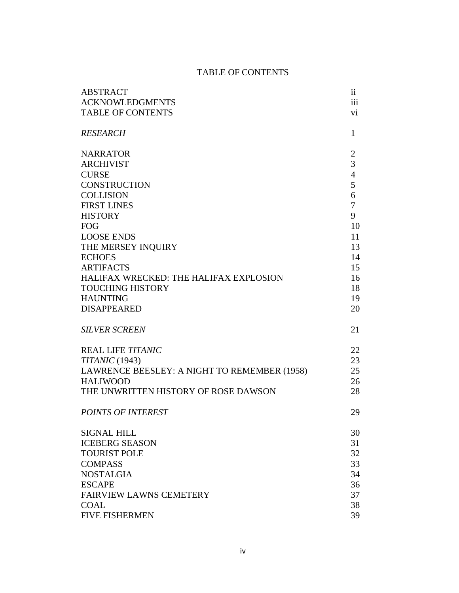# TABLE OF CONTENTS

| <b>ABSTRACT</b>                              | 11             |
|----------------------------------------------|----------------|
| <b>ACKNOWLEDGMENTS</b>                       | iii            |
| <b>TABLE OF CONTENTS</b>                     | vi             |
| <b>RESEARCH</b>                              | 1              |
| <b>NARRATOR</b>                              | $\overline{c}$ |
| <b>ARCHIVIST</b>                             | 3              |
| <b>CURSE</b>                                 | $\overline{4}$ |
| <b>CONSTRUCTION</b>                          | 5              |
| <b>COLLISION</b>                             | 6              |
| <b>FIRST LINES</b>                           | 7              |
| <b>HISTORY</b>                               | 9              |
| <b>FOG</b>                                   | 10             |
| <b>LOOSE ENDS</b>                            | 11             |
| THE MERSEY INQUIRY                           | 13             |
| <b>ECHOES</b>                                | 14             |
| <b>ARTIFACTS</b>                             | 15             |
| HALIFAX WRECKED: THE HALIFAX EXPLOSION       | 16             |
| <b>TOUCHING HISTORY</b>                      | 18             |
| <b>HAUNTING</b>                              | 19             |
| <b>DISAPPEARED</b>                           | 20             |
| <b>SILVER SCREEN</b>                         | 21             |
| <b>REAL LIFE TITANIC</b>                     | 22             |
| $TITANIC$ (1943)                             | 23             |
| LAWRENCE BEESLEY: A NIGHT TO REMEMBER (1958) | 25             |
| <b>HALIWOOD</b>                              | 26             |
| THE UNWRITTEN HISTORY OF ROSE DAWSON         | 28             |
| POINTS OF INTEREST                           | 29             |
| <b>SIGNAL HILL</b>                           | 30             |
| <b>ICEBERG SEASON</b>                        | 31             |
| <b>TOURIST POLE</b>                          | 32             |
| <b>COMPASS</b>                               | 33             |
| <b>NOSTALGIA</b>                             | 34             |
| <b>ESCAPE</b>                                | 36             |
| <b>FAIRVIEW LAWNS CEMETERY</b>               | 37             |
| <b>COAL</b>                                  | 38             |
| <b>FIVE FISHERMEN</b>                        | 39             |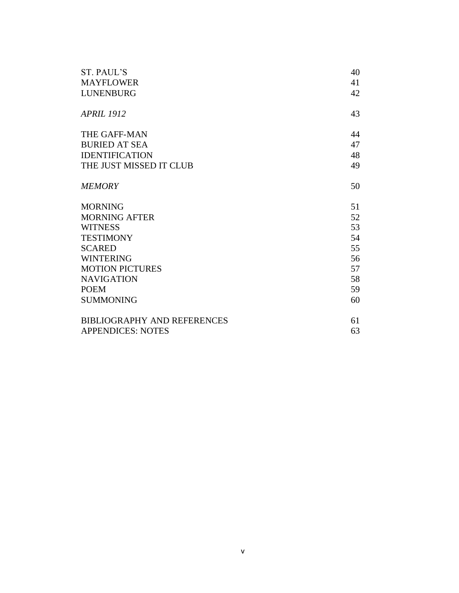| ST. PAUL'S                         | 40 |
|------------------------------------|----|
| <b>MAYFLOWER</b>                   | 41 |
| <b>LUNENBURG</b>                   | 42 |
|                                    |    |
| <b>APRIL 1912</b>                  | 43 |
| THE GAFF-MAN                       | 44 |
| <b>BURIED AT SEA</b>               | 47 |
| <b>IDENTIFICATION</b>              | 48 |
| THE JUST MISSED IT CLUB            | 49 |
| <b>MEMORY</b>                      | 50 |
| <b>MORNING</b>                     | 51 |
| <b>MORNING AFTER</b>               | 52 |
| <b>WITNESS</b>                     | 53 |
| <b>TESTIMONY</b>                   | 54 |
| <b>SCARED</b>                      | 55 |
| <b>WINTERING</b>                   | 56 |
| <b>MOTION PICTURES</b>             | 57 |
| <b>NAVIGATION</b>                  | 58 |
| <b>POEM</b>                        | 59 |
| <b>SUMMONING</b>                   | 60 |
| <b>BIBLIOGRAPHY AND REFERENCES</b> | 61 |
| <b>APPENDICES: NOTES</b>           | 63 |
|                                    |    |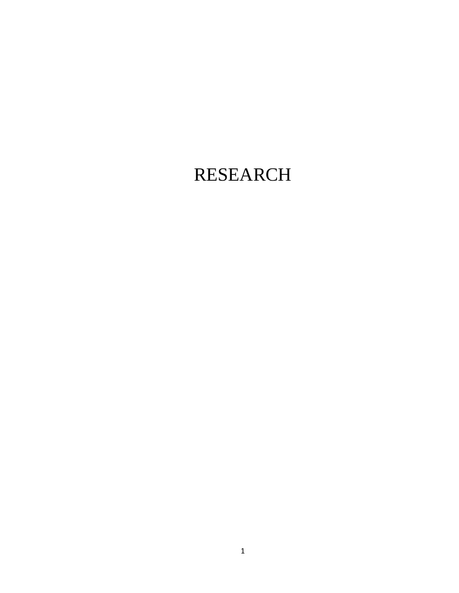# RESEARCH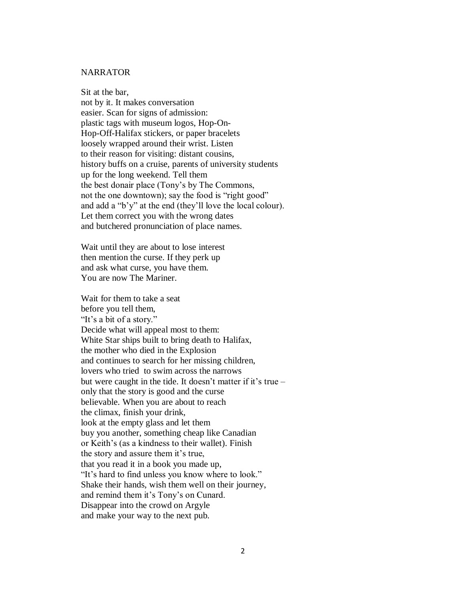#### **NARRATOR**

Sit at the bar, not by it. It makes conversation easier. Scan for signs of admission: plastic tags with museum logos, Hop-On-Hop-Off-Halifax stickers, or paper bracelets loosely wrapped around their wrist. Listen to their reason for visiting: distant cousins, history buffs on a cruise, parents of university students up for the long weekend. Tell them the best donair place (Tony's by The Commons, not the one downtown); say the food is "right good" and add a "b'y" at the end (they'll love the local colour). Let them correct you with the wrong dates and butchered pronunciation of place names.

Wait until they are about to lose interest then mention the curse. If they perk up and ask what curse, you have them. You are now The Mariner.

Wait for them to take a seat before you tell them, "It's a bit of a story." Decide what will appeal most to them: White Star ships built to bring death to Halifax, the mother who died in the Explosion and continues to search for her missing children, lovers who tried to swim across the narrows but were caught in the tide. It doesn't matter if it's true – only that the story is good and the curse believable. When you are about to reach the climax, finish your drink, look at the empty glass and let them buy you another, something cheap like Canadian or Keith's (as a kindness to their wallet). Finish the story and assure them it's true, that you read it in a book you made up, "It's hard to find unless you know where to look." Shake their hands, wish them well on their journey, and remind them it's Tony's on Cunard. Disappear into the crowd on Argyle and make your way to the next pub.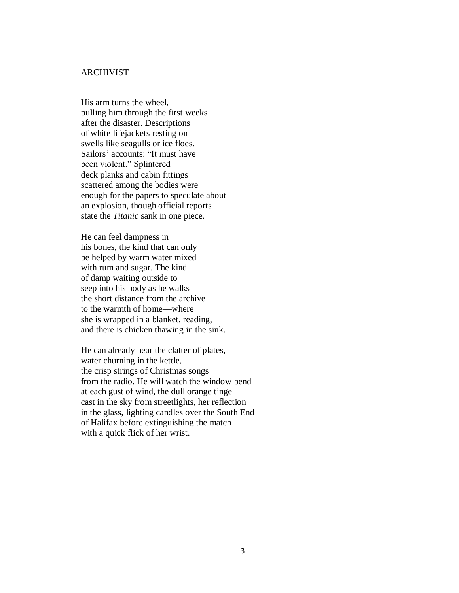## ARCHIVIST

His arm turns the wheel, pulling him through the first weeks after the disaster. Descriptions of white lifejackets resting on swells like seagulls or ice floes. Sailors' accounts: "It must have been violent." Splintered deck planks and cabin fittings scattered among the bodies were enough for the papers to speculate about an explosion, though official reports state the *Titanic* sank in one piece.

He can feel dampness in his bones, the kind that can only be helped by warm water mixed with rum and sugar. The kind of damp waiting outside to seep into his body as he walks the short distance from the archive to the warmth of home—where she is wrapped in a blanket, reading, and there is chicken thawing in the sink.

He can already hear the clatter of plates, water churning in the kettle, the crisp strings of Christmas songs from the radio. He will watch the window bend at each gust of wind, the dull orange tinge cast in the sky from streetlights, her reflection in the glass, lighting candles over the South End of Halifax before extinguishing the match with a quick flick of her wrist.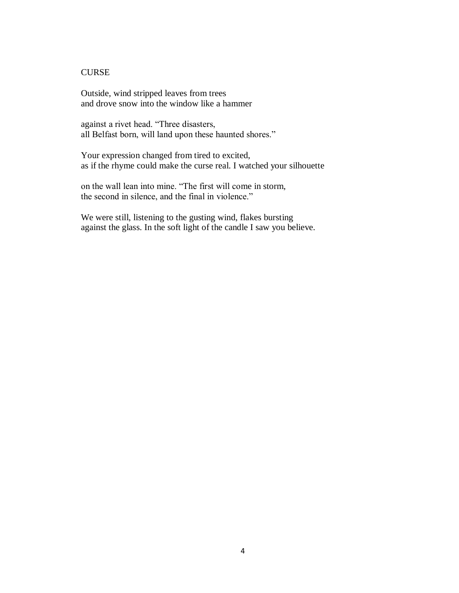# **CURSE**

Outside, wind stripped leaves from trees and drove snow into the window like a hammer

against a rivet head. "Three disasters, all Belfast born, will land upon these haunted shores."

Your expression changed from tired to excited, as if the rhyme could make the curse real. I watched your silhouette

on the wall lean into mine. "The first will come in storm, the second in silence, and the final in violence."

We were still, listening to the gusting wind, flakes bursting against the glass. In the soft light of the candle I saw you believe.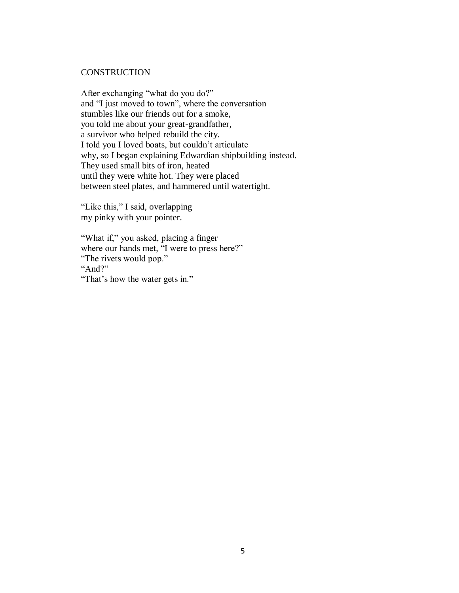#### **CONSTRUCTION**

After exchanging "what do you do?" and "I just moved to town", where the conversation stumbles like our friends out for a smoke, you told me about your great-grandfather, a survivor who helped rebuild the city. I told you I loved boats, but couldn't articulate why, so I began explaining Edwardian shipbuilding instead. They used small bits of iron, heated until they were white hot. They were placed between steel plates, and hammered until watertight.

"Like this," I said, overlapping my pinky with your pointer.

"What if," you asked, placing a finger where our hands met, "I were to press here?" "The rivets would pop." "And?" "That's how the water gets in."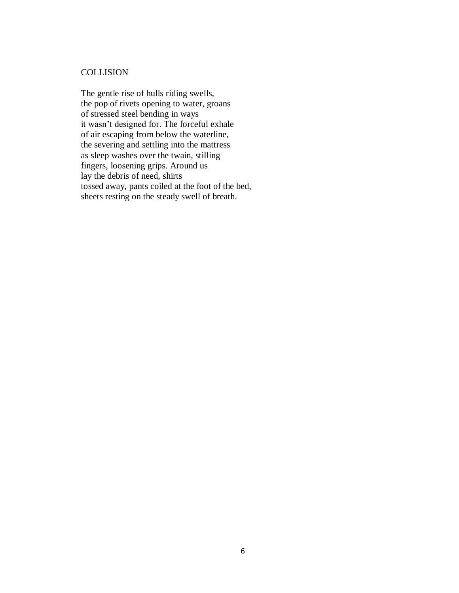# **COLLISION**

The gentle rise of hulls riding swells, the pop of rivets opening to water, groans of stressed steel bending in ways it wasn't designed for. The forceful exhale of air escaping from below the waterline, the severing and settling into the mattress as sleep washes over the twain, stilling fingers, loosening grips. Around us lay the debris of need, shirts tossed away, pants coiled at the foot of the bed, sheets resting on the steady swell of breath.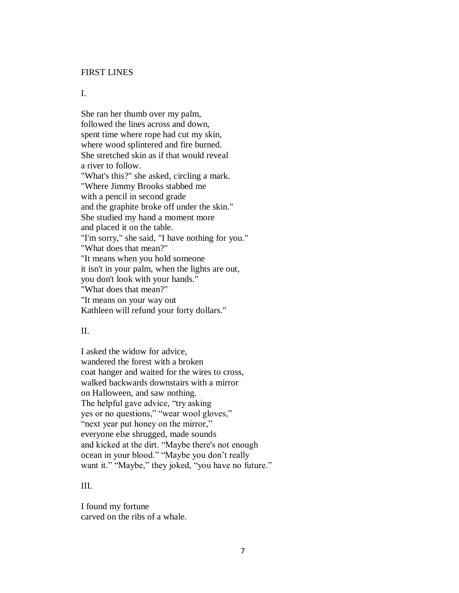#### FIRST LINES

## I.

She ran her thumb over my palm, followed the lines across and down, spent time where rope had cut my skin, where wood splintered and fire burned. She stretched skin as if that would reveal a river to follow. "What's this?" she asked, circling a mark. "Where Jimmy Brooks stabbed me with a pencil in second grade and the graphite broke off under the skin." She studied my hand a moment more and placed it on the table. "I'm sorry," she said, "I have nothing for you." "What does that mean?" "It means when you hold someone it isn't in your palm, when the lights are out, you don't look with your hands." "What does that mean?" "It means on your way out Kathleen will refund your forty dollars."

#### II.

I asked the widow for advice, wandered the forest with a broken coat hanger and waited for the wires to cross, walked backwards downstairs with a mirror on Halloween, and saw nothing. The helpful gave advice, "try asking yes or no questions," "wear wool gloves," "next year put honey on the mirror," everyone else shrugged, made sounds and kicked at the dirt. "Maybe there's not enough ocean in your blood." "Maybe you don't really want it." "Maybe," they joked, "you have no future."

# III.

I found my fortune carved on the ribs of a whale.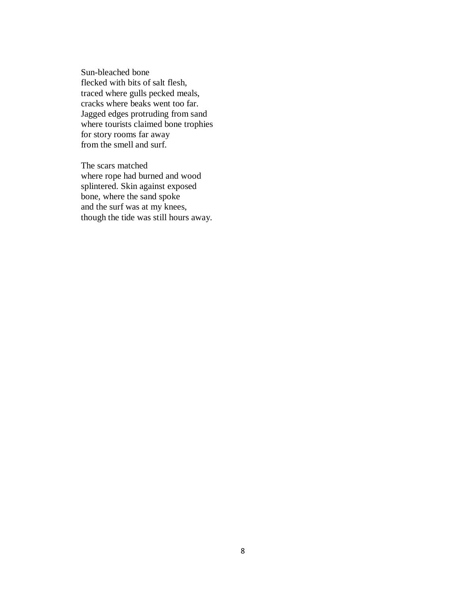Sun-bleached bone flecked with bits of salt flesh, traced where gulls pecked meals, cracks where beaks went too far. Jagged edges protruding from sand where tourists claimed bone trophies for story rooms far away from the smell and surf.

The scars matched where rope had burned and wood splintered. Skin against exposed bone, where the sand spoke and the surf was at my knees, though the tide was still hours away.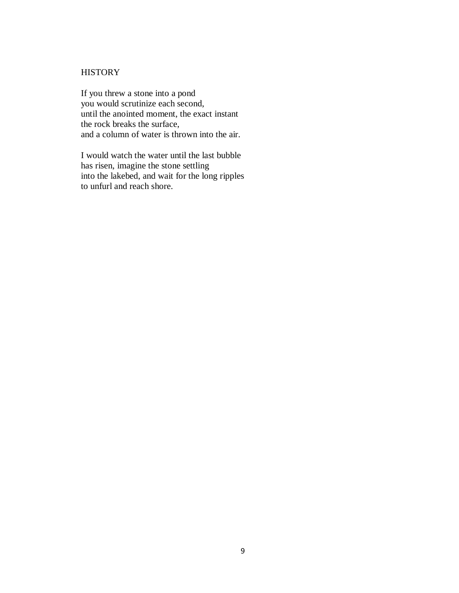# **HISTORY**

If you threw a stone into a pond you would scrutinize each second, until the anointed moment, the exact instant the rock breaks the surface, and a column of water is thrown into the air.

I would watch the water until the last bubble has risen, imagine the stone settling into the lakebed, and wait for the long ripples to unfurl and reach shore.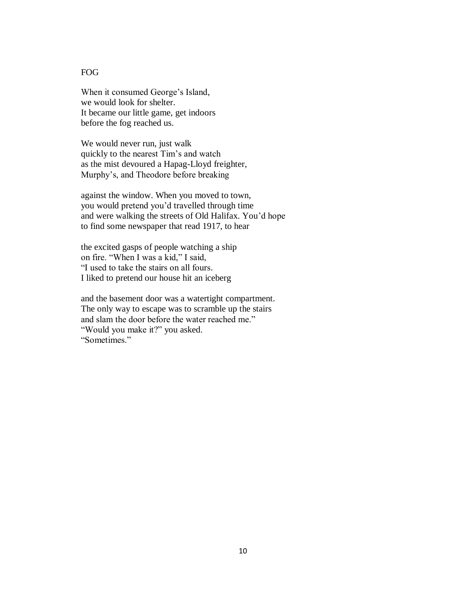# FOG

When it consumed George's Island, we would look for shelter. It became our little game, get indoors before the fog reached us.

We would never run, just walk quickly to the nearest Tim's and watch as the mist devoured a Hapag-Lloyd freighter, Murphy's, and Theodore before breaking

against the window. When you moved to town, you would pretend you'd travelled through time and were walking the streets of Old Halifax. You'd hope to find some newspaper that read 1917, to hear

the excited gasps of people watching a ship on fire. "When I was a kid," I said, "I used to take the stairs on all fours. I liked to pretend our house hit an iceberg

and the basement door was a watertight compartment. The only way to escape was to scramble up the stairs and slam the door before the water reached me." "Would you make it?" you asked. "Sometimes."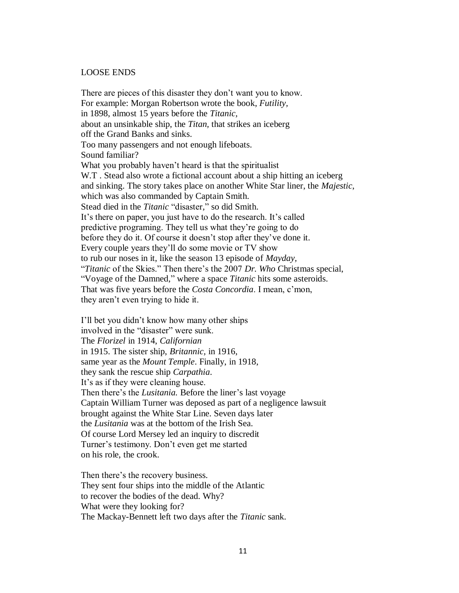#### LOOSE ENDS

There are pieces of this disaster they don't want you to know. For example: Morgan Robertson wrote the book, *Futility,* in 1898, almost 15 years before the *Titanic,* about an unsinkable ship, the *Titan,* that strikes an iceberg off the Grand Banks and sinks. Too many passengers and not enough lifeboats. Sound familiar? What you probably haven't heard is that the spiritualist W.T. Stead also wrote a fictional account about a ship hitting an iceberg and sinking. The story takes place on another White Star liner, the *Majestic*, which was also commanded by Captain Smith*.* Stead died in the *Titanic* "disaster*,*" so did Smith. It's there on paper, you just have to do the research. It's called predictive programing. They tell us what they're going to do before they do it. Of course it doesn't stop after they've done it. Every couple years they'll do some movie or TV show to rub our noses in it, like the season 13 episode of *Mayday,* "*Titanic* of the Skies." Then there's the 2007 *Dr. Who* Christmas special, "Voyage of the Damned," where a space *Titanic* hits some asteroids. That was five years before the *Costa Concordia*. I mean, c'mon, they aren't even trying to hide it.

I'll bet you didn't know how many other ships involved in the "disaster" were sunk. The *Florizel* in 1914, *Californian* in 1915. The sister ship, *Britannic,* in 1916, same year as the *Mount Temple*. Finally, in 1918, they sank the rescue ship *Carpathia*. It's as if they were cleaning house. Then there's the *Lusitania.* Before the liner's last voyage Captain William Turner was deposed as part of a negligence lawsuit brought against the White Star Line. Seven days later the *Lusitania* was at the bottom of the Irish Sea. Of course Lord Mersey led an inquiry to discredit Turner's testimony. Don't even get me started on his role, the crook.

Then there's the recovery business. They sent four ships into the middle of the Atlantic to recover the bodies of the dead. Why? What were they looking for? The Mackay-Bennett left two days after the *Titanic* sank.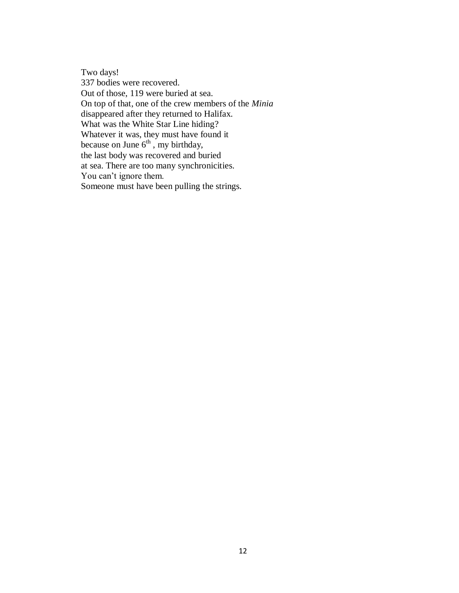Two days! 337 bodies were recovered. Out of those, 119 were buried at sea. On top of that, one of the crew members of the *Minia* disappeared after they returned to Halifax. What was the White Star Line hiding? Whatever it was, they must have found it because on June  $6<sup>th</sup>$ , my birthday, the last body was recovered and buried at sea. There are too many synchronicities. You can't ignore them. Someone must have been pulling the strings.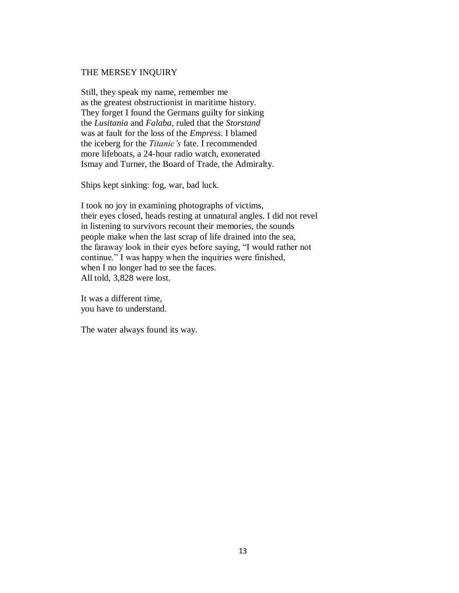#### THE MERSEY INQUIRY

Still, they speak my name, remember me as the greatest obstructionist in maritime history. They forget I found the Germans guilty for sinking the *Lusitania* and *Falaba*, ruled that the *Storstand* was at fault for the loss of the *Empress*. I blamed the iceberg for the *Titanic's* fate. I recommended more lifeboats, a 24-hour radio watch, exonerated Ismay and Turner, the Board of Trade, the Admiralty.

Ships kept sinking: fog, war, bad luck.

I took no joy in examining photographs of victims, their eyes closed, heads resting at unnatural angles. I did not revel in listening to survivors recount their memories, the sounds people make when the last scrap of life drained into the sea, the faraway look in their eyes before saying, "I would rather not continue." I was happy when the inquiries were finished, when I no longer had to see the faces. All told, 3,828 were lost.

It was a different time, you have to understand.

The water always found its way.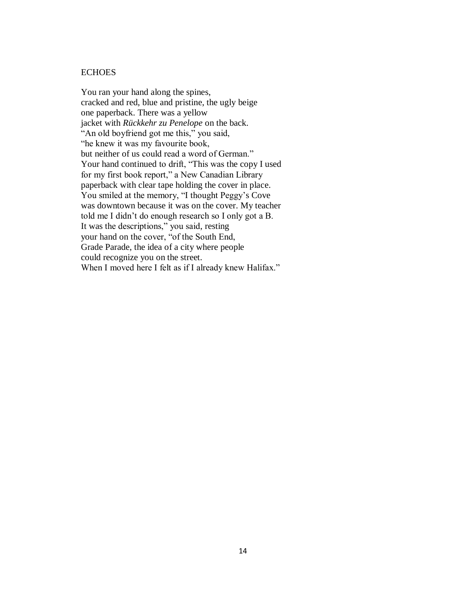## **ECHOES**

You ran your hand along the spines, cracked and red, blue and pristine, the ugly beige one paperback. There was a yellow jacket with *Rückkehr zu Penelope* on the back. "An old boyfriend got me this," you said, "he knew it was my favourite book, but neither of us could read a word of German." Your hand continued to drift, "This was the copy I used for my first book report," a New Canadian Library paperback with clear tape holding the cover in place. You smiled at the memory, "I thought Peggy's Cove was downtown because it was on the cover. My teacher told me I didn't do enough research so I only got a B. It was the descriptions," you said, resting your hand on the cover, "of the South End, Grade Parade, the idea of a city where people could recognize you on the street. When I moved here I felt as if I already knew Halifax."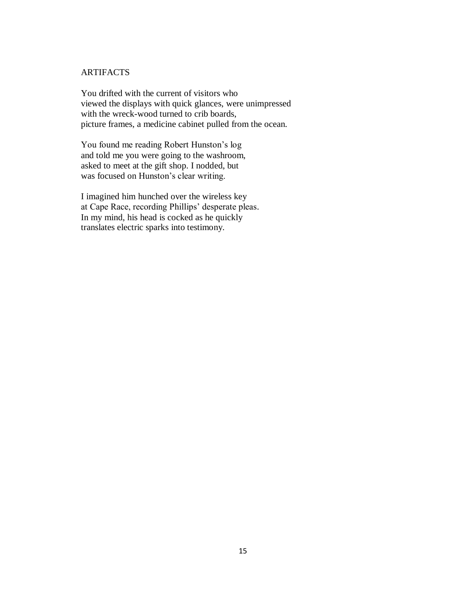## ARTIFACTS

You drifted with the current of visitors who viewed the displays with quick glances, were unimpressed with the wreck-wood turned to crib boards, picture frames, a medicine cabinet pulled from the ocean.

You found me reading Robert Hunston's log and told me you were going to the washroom, asked to meet at the gift shop. I nodded, but was focused on Hunston's clear writing.

I imagined him hunched over the wireless key at Cape Race, recording Phillips' desperate pleas. In my mind, his head is cocked as he quickly translates electric sparks into testimony.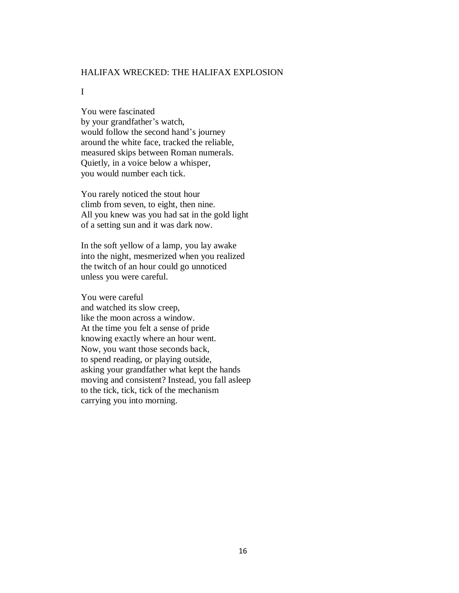## HALIFAX WRECKED: THE HALIFAX EXPLOSION

#### I

You were fascinated by your grandfather's watch, would follow the second hand's journey around the white face, tracked the reliable, measured skips between Roman numerals. Quietly, in a voice below a whisper, you would number each tick.

You rarely noticed the stout hour climb from seven, to eight, then nine. All you knew was you had sat in the gold light of a setting sun and it was dark now.

In the soft yellow of a lamp, you lay awake into the night, mesmerized when you realized the twitch of an hour could go unnoticed unless you were careful.

You were careful and watched its slow creep, like the moon across a window. At the time you felt a sense of pride knowing exactly where an hour went. Now, you want those seconds back, to spend reading, or playing outside, asking your grandfather what kept the hands moving and consistent? Instead, you fall asleep to the tick, tick, tick of the mechanism carrying you into morning.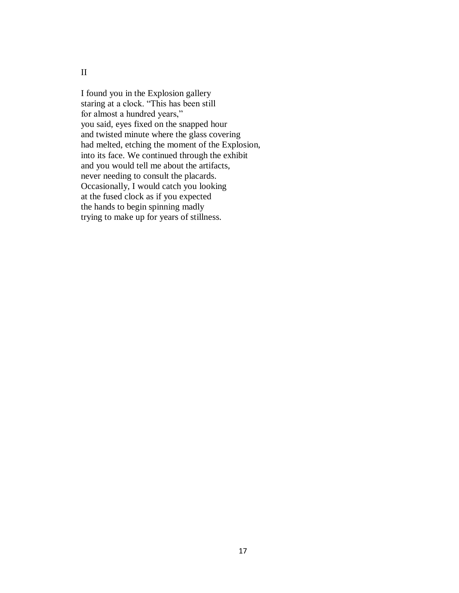II

I found you in the Explosion gallery staring at a clock. "This has been still for almost a hundred years," you said, eyes fixed on the snapped hour and twisted minute where the glass covering had melted, etching the moment of the Explosion, into its face. We continued through the exhibit and you would tell me about the artifacts, never needing to consult the placards. Occasionally, I would catch you looking at the fused clock as if you expected the hands to begin spinning madly trying to make up for years of stillness.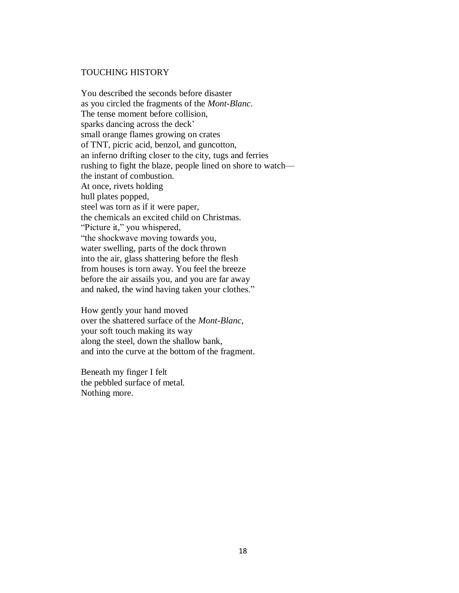#### TOUCHING HISTORY

You described the seconds before disaster as you circled the fragments of the *Mont-Blanc*. The tense moment before collision, sparks dancing across the deck' small orange flames growing on crates of TNT, picric acid, benzol, and guncotton, an inferno drifting closer to the city, tugs and ferries rushing to fight the blaze, people lined on shore to watch the instant of combustion. At once, rivets holding hull plates popped, steel was torn as if it were paper, the chemicals an excited child on Christmas. "Picture it," you whispered, "the shockwave moving towards you, water swelling, parts of the dock thrown into the air, glass shattering before the flesh from houses is torn away. You feel the breeze before the air assails you, and you are far away and naked, the wind having taken your clothes."

How gently your hand moved over the shattered surface of the *Mont-Blanc,* your soft touch making its way along the steel, down the shallow bank, and into the curve at the bottom of the fragment.

Beneath my finger I felt the pebbled surface of metal. Nothing more.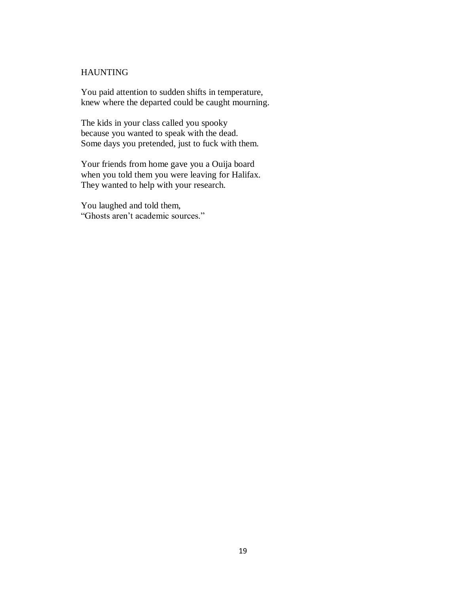# HAUNTING

You paid attention to sudden shifts in temperature, knew where the departed could be caught mourning.

The kids in your class called you spooky because you wanted to speak with the dead. Some days you pretended, just to fuck with them.

Your friends from home gave you a Ouija board when you told them you were leaving for Halifax. They wanted to help with your research.

You laughed and told them, "Ghosts aren't academic sources."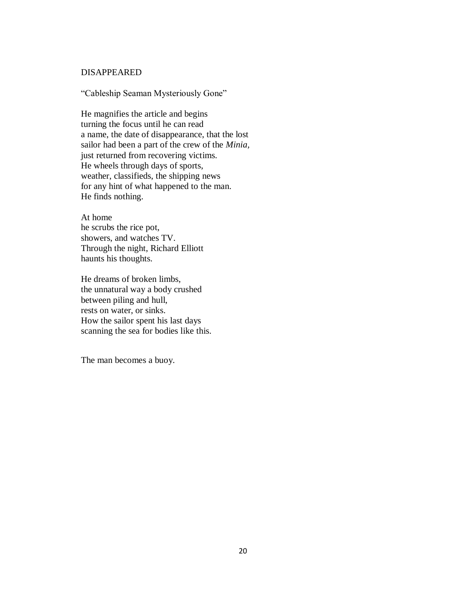## DISAPPEARED

"Cableship Seaman Mysteriously Gone"

He magnifies the article and begins turning the focus until he can read a name, the date of disappearance, that the lost sailor had been a part of the crew of the *Minia,* just returned from recovering victims. He wheels through days of sports, weather, classifieds, the shipping news for any hint of what happened to the man. He finds nothing.

At home he scrubs the rice pot, showers, and watches TV. Through the night, Richard Elliott haunts his thoughts.

He dreams of broken limbs, the unnatural way a body crushed between piling and hull, rests on water, or sinks. How the sailor spent his last days scanning the sea for bodies like this.

The man becomes a buoy.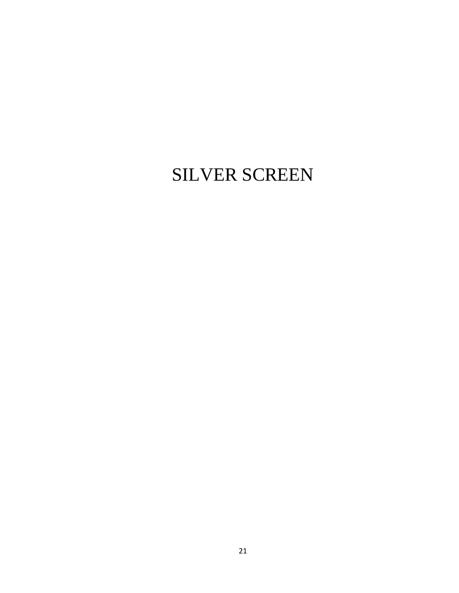# SILVER SCREEN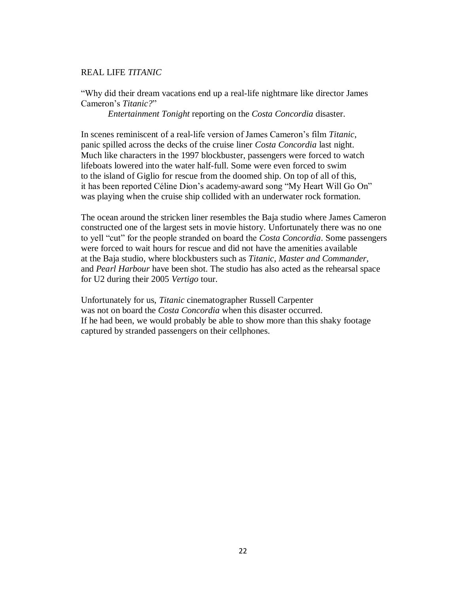## REAL LIFE *TITANIC*

"Why did their dream vacations end up a real-life nightmare like director James Cameron's *Titanic?*"

*Entertainment Tonight* reporting on the *Costa Concordia* disaster.

In scenes reminiscent of a real-life version of James Cameron's film *Titanic*, panic spilled across the decks of the cruise liner *Costa Concordia* last night*.* Much like characters in the 1997 blockbuster, passengers were forced to watch lifeboats lowered into the water half-full. Some were even forced to swim to the island of Giglio for rescue from the doomed ship. On top of all of this, it has been reported Céline Dion's academy-award song "My Heart Will Go On" was playing when the cruise ship collided with an underwater rock formation.

The ocean around the stricken liner resembles the Baja studio where James Cameron constructed one of the largest sets in movie history. Unfortunately there was no one to yell "cut" for the people stranded on board the *Costa Concordia*. Some passengers were forced to wait hours for rescue and did not have the amenities available at the Baja studio, where blockbusters such as *Titanic, Master and Commander,*  and *Pearl Harbour* have been shot. The studio has also acted as the rehearsal space for U2 during their 2005 *Vertigo* tour.

Unfortunately for us, *Titanic* cinematographer Russell Carpenter was not on board the *Costa Concordia* when this disaster occurred. If he had been, we would probably be able to show more than this shaky footage captured by stranded passengers on their cellphones.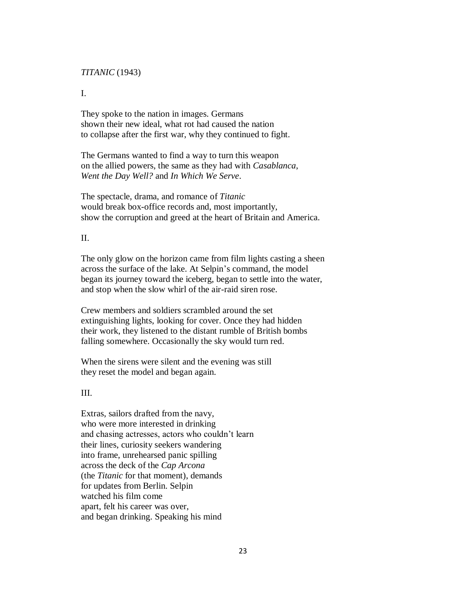#### *TITANIC* (1943)

I.

They spoke to the nation in images. Germans shown their new ideal, what rot had caused the nation to collapse after the first war, why they continued to fight.

The Germans wanted to find a way to turn this weapon on the allied powers, the same as they had with *Casablanca*, *Went the Day Well?* and *In Which We Serve*.

The spectacle, drama, and romance of *Titanic* would break box-office records and, most importantly, show the corruption and greed at the heart of Britain and America.

## II.

The only glow on the horizon came from film lights casting a sheen across the surface of the lake. At Selpin's command, the model began its journey toward the iceberg, began to settle into the water, and stop when the slow whirl of the air-raid siren rose.

Crew members and soldiers scrambled around the set extinguishing lights, looking for cover. Once they had hidden their work, they listened to the distant rumble of British bombs falling somewhere. Occasionally the sky would turn red.

When the sirens were silent and the evening was still they reset the model and began again.

## III.

Extras, sailors drafted from the navy, who were more interested in drinking and chasing actresses, actors who couldn't learn their lines, curiosity seekers wandering into frame, unrehearsed panic spilling across the deck of the *Cap Arcona* (the *Titanic* for that moment), demands for updates from Berlin. Selpin watched his film come apart, felt his career was over, and began drinking. Speaking his mind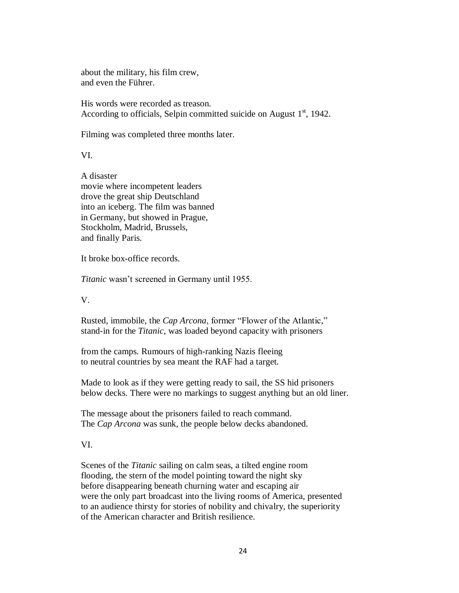about the military, his film crew, and even the Führer.

His words were recorded as treason. According to officials, Selpin committed suicide on August  $1<sup>st</sup>$ , 1942.

Filming was completed three months later.

VI.

A disaster movie where incompetent leaders drove the great ship Deutschland into an iceberg. The film was banned in Germany, but showed in Prague, Stockholm, Madrid, Brussels, and finally Paris.

It broke box-office records.

*Titanic* wasn't screened in Germany until 1955.

V.

Rusted, immobile, the *Cap Arcona*, former "Flower of the Atlantic," stand-in for the *Titanic*, was loaded beyond capacity with prisoners

from the camps. Rumours of high-ranking Nazis fleeing to neutral countries by sea meant the RAF had a target.

Made to look as if they were getting ready to sail, the SS hid prisoners below decks. There were no markings to suggest anything but an old liner.

The message about the prisoners failed to reach command. The *Cap Arcona* was sunk, the people below decks abandoned.

VI.

Scenes of the *Titanic* sailing on calm seas, a tilted engine room flooding, the stern of the model pointing toward the night sky before disappearing beneath churning water and escaping air were the only part broadcast into the living rooms of America, presented to an audience thirsty for stories of nobility and chivalry, the superiority of the American character and British resilience.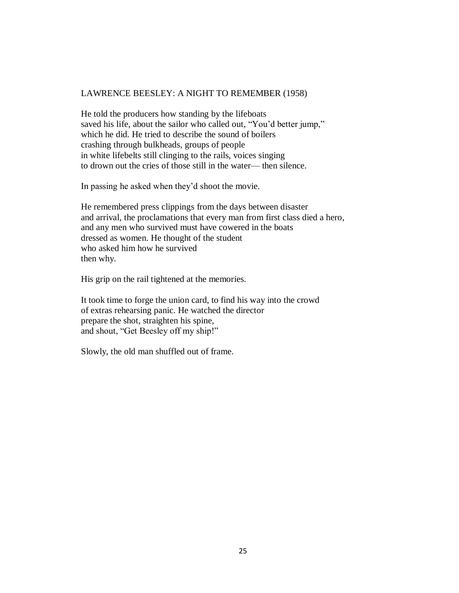# LAWRENCE BEESLEY: A NIGHT TO REMEMBER (1958)

He told the producers how standing by the lifeboats saved his life, about the sailor who called out, "You'd better jump," which he did. He tried to describe the sound of boilers crashing through bulkheads, groups of people in white lifebelts still clinging to the rails, voices singing to drown out the cries of those still in the water— then silence.

In passing he asked when they'd shoot the movie.

He remembered press clippings from the days between disaster and arrival, the proclamations that every man from first class died a hero, and any men who survived must have cowered in the boats dressed as women. He thought of the student who asked him how he survived then why.

His grip on the rail tightened at the memories.

It took time to forge the union card, to find his way into the crowd of extras rehearsing panic. He watched the director prepare the shot, straighten his spine, and shout, "Get Beesley off my ship!"

Slowly, the old man shuffled out of frame.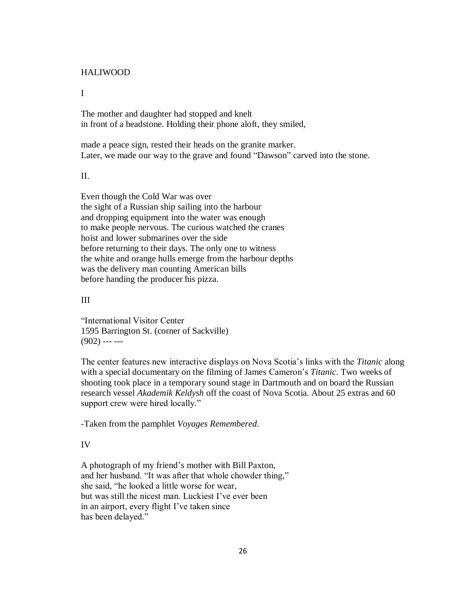## HALIWOOD

#### I

The mother and daughter had stopped and knelt in front of a headstone. Holding their phone aloft, they smiled,

made a peace sign, rested their heads on the granite marker. Later, we made our way to the grave and found "Dawson" carved into the stone.

#### II.

Even though the Cold War was over the sight of a Russian ship sailing into the harbour and dropping equipment into the water was enough to make people nervous. The curious watched the cranes hoist and lower submarines over the side before returning to their days. The only one to witness the white and orange hulls emerge from the harbour depths was the delivery man counting American bills before handing the producer his pizza.

## III

"International Visitor Center 1595 Barrington St. (corner of Sackville)  $(902)$  --- ---

The center features new interactive displays on Nova Scotia's links with the *Titanic* along with a special documentary on the filming of James Cameron's *Titanic*. Two weeks of shooting took place in a temporary sound stage in Dartmouth and on board the Russian research vessel *Akademik Keldysh* off the coast of Nova Scotia. About 25 extras and 60 support crew were hired locally."

-Taken from the pamphlet *Voyages Remembered*.

# IV

A photograph of my friend's mother with Bill Paxton, and her husband. "It was after that whole chowder thing," she said, "he looked a little worse for wear, but was still the nicest man. Luckiest I've ever been in an airport, every flight I've taken since has been delayed."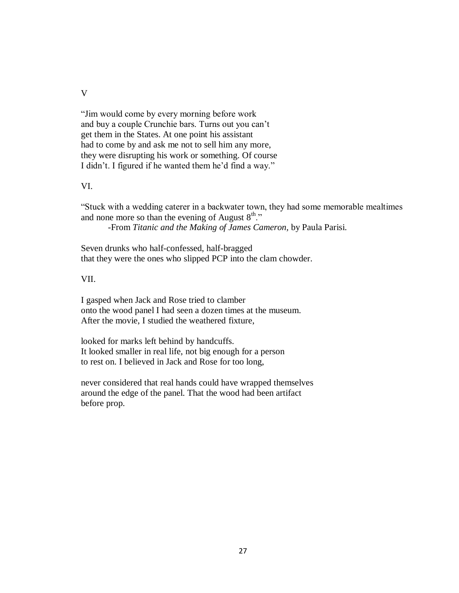V

"Jim would come by every morning before work and buy a couple Crunchie bars. Turns out you can't get them in the States. At one point his assistant had to come by and ask me not to sell him any more, they were disrupting his work or something. Of course I didn't. I figured if he wanted them he'd find a way."

# VI.

"Stuck with a wedding caterer in a backwater town, they had some memorable mealtimes and none more so than the evening of August  $8<sup>th</sup>$ ."

-From *Titanic and the Making of James Cameron,* by Paula Parisi.

Seven drunks who half-confessed, half-bragged that they were the ones who slipped PCP into the clam chowder.

## VII.

I gasped when Jack and Rose tried to clamber onto the wood panel I had seen a dozen times at the museum. After the movie, I studied the weathered fixture,

looked for marks left behind by handcuffs. It looked smaller in real life, not big enough for a person to rest on. I believed in Jack and Rose for too long,

never considered that real hands could have wrapped themselves around the edge of the panel. That the wood had been artifact before prop.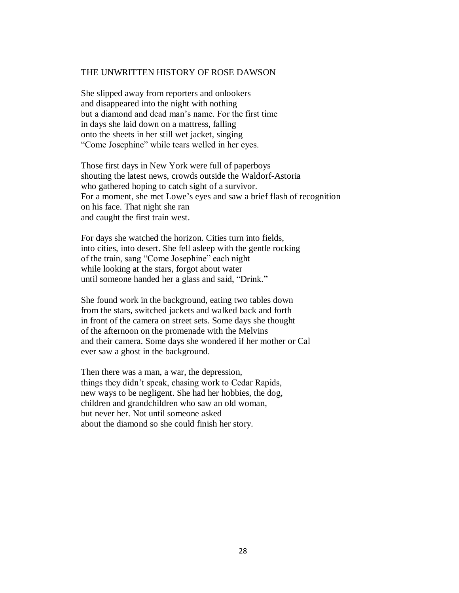#### THE UNWRITTEN HISTORY OF ROSE DAWSON

She slipped away from reporters and onlookers and disappeared into the night with nothing but a diamond and dead man's name. For the first time in days she laid down on a mattress, falling onto the sheets in her still wet jacket, singing "Come Josephine" while tears welled in her eyes.

Those first days in New York were full of paperboys shouting the latest news, crowds outside the Waldorf-Astoria who gathered hoping to catch sight of a survivor. For a moment, she met Lowe's eyes and saw a brief flash of recognition on his face. That night she ran and caught the first train west.

For days she watched the horizon. Cities turn into fields, into cities, into desert. She fell asleep with the gentle rocking of the train, sang "Come Josephine" each night while looking at the stars, forgot about water until someone handed her a glass and said, "Drink."

She found work in the background, eating two tables down from the stars, switched jackets and walked back and forth in front of the camera on street sets. Some days she thought of the afternoon on the promenade with the Melvins and their camera. Some days she wondered if her mother or Cal ever saw a ghost in the background.

Then there was a man, a war, the depression, things they didn't speak, chasing work to Cedar Rapids, new ways to be negligent. She had her hobbies, the dog, children and grandchildren who saw an old woman, but never her. Not until someone asked about the diamond so she could finish her story.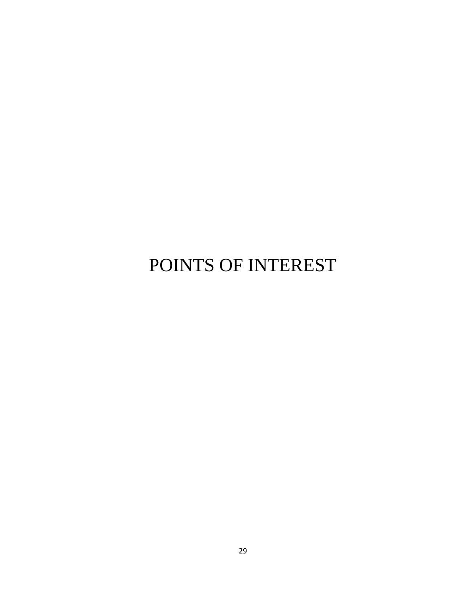# POINTS OF INTEREST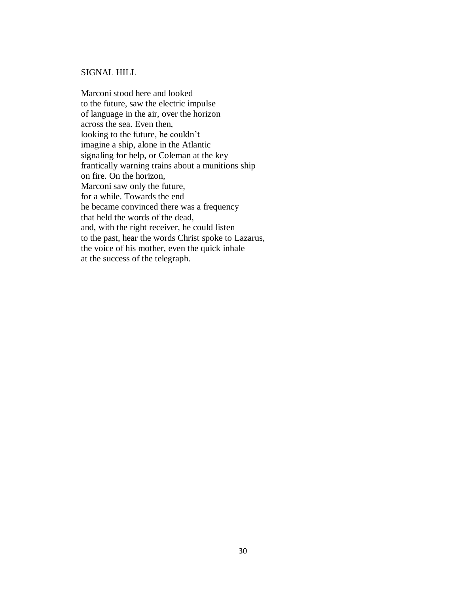## SIGNAL HILL

Marconi stood here and looked to the future, saw the electric impulse of language in the air, over the horizon across the sea. Even then, looking to the future, he couldn't imagine a ship, alone in the Atlantic signaling for help, or Coleman at the key frantically warning trains about a munitions ship on fire. On the horizon, Marconi saw only the future, for a while. Towards the end he became convinced there was a frequency that held the words of the dead, and, with the right receiver, he could listen to the past, hear the words Christ spoke to Lazarus, the voice of his mother, even the quick inhale at the success of the telegraph.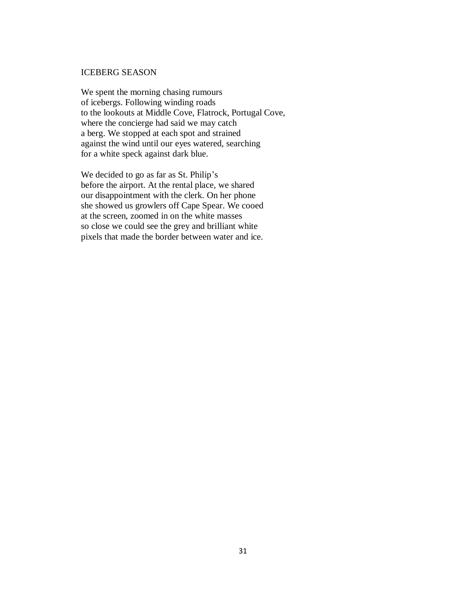## ICEBERG SEASON

We spent the morning chasing rumours of icebergs. Following winding roads to the lookouts at Middle Cove, Flatrock, Portugal Cove, where the concierge had said we may catch a berg. We stopped at each spot and strained against the wind until our eyes watered, searching for a white speck against dark blue.

We decided to go as far as St. Philip's before the airport. At the rental place, we shared our disappointment with the clerk. On her phone she showed us growlers off Cape Spear. We cooed at the screen, zoomed in on the white masses so close we could see the grey and brilliant white pixels that made the border between water and ice.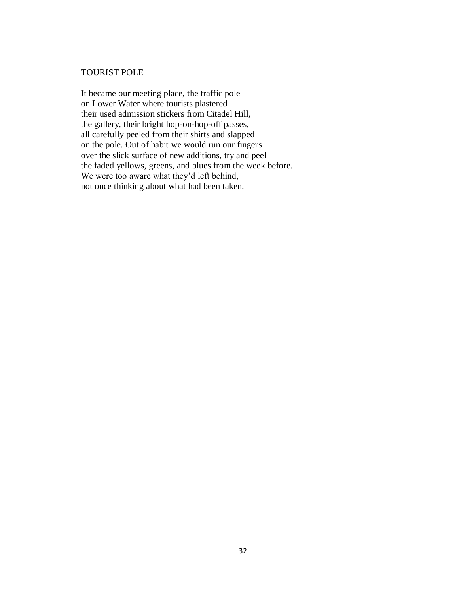## TOURIST POLE

It became our meeting place, the traffic pole on Lower Water where tourists plastered their used admission stickers from Citadel Hill, the gallery, their bright hop-on-hop-off passes, all carefully peeled from their shirts and slapped on the pole. Out of habit we would run our fingers over the slick surface of new additions, try and peel the faded yellows, greens, and blues from the week before. We were too aware what they'd left behind, not once thinking about what had been taken.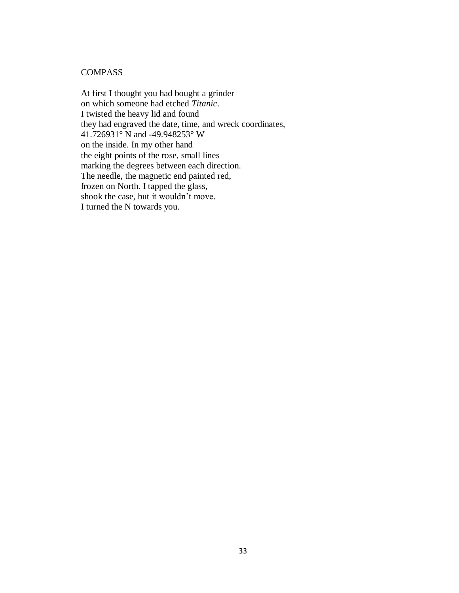# **COMPASS**

At first I thought you had bought a grinder on which someone had etched *Titanic*. I twisted the heavy lid and found they had engraved the date, time, and wreck coordinates, 41.726931° N and -49.948253° W on the inside. In my other hand the eight points of the rose, small lines marking the degrees between each direction. The needle, the magnetic end painted red, frozen on North. I tapped the glass, shook the case, but it wouldn't move. I turned the N towards you.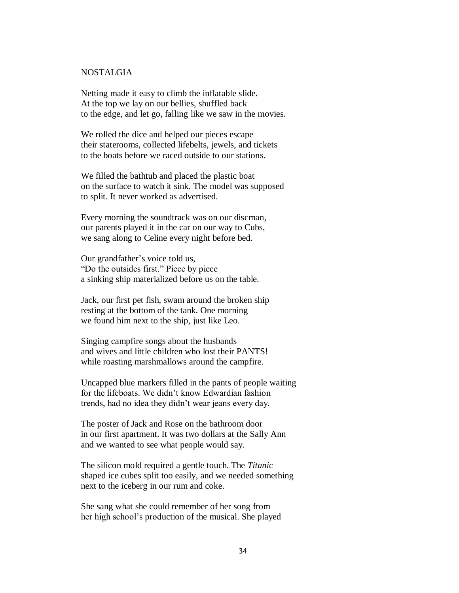# NOSTALGIA

Netting made it easy to climb the inflatable slide. At the top we lay on our bellies, shuffled back to the edge, and let go, falling like we saw in the movies.

We rolled the dice and helped our pieces escape their staterooms, collected lifebelts, jewels, and tickets to the boats before we raced outside to our stations.

We filled the bathtub and placed the plastic boat on the surface to watch it sink. The model was supposed to split. It never worked as advertised.

Every morning the soundtrack was on our discman, our parents played it in the car on our way to Cubs, we sang along to Celine every night before bed.

Our grandfather's voice told us, "Do the outsides first." Piece by piece a sinking ship materialized before us on the table.

Jack, our first pet fish, swam around the broken ship resting at the bottom of the tank. One morning we found him next to the ship, just like Leo.

Singing campfire songs about the husbands and wives and little children who lost their PANTS! while roasting marshmallows around the campfire.

Uncapped blue markers filled in the pants of people waiting for the lifeboats. We didn't know Edwardian fashion trends, had no idea they didn't wear jeans every day.

The poster of Jack and Rose on the bathroom door in our first apartment. It was two dollars at the Sally Ann and we wanted to see what people would say.

The silicon mold required a gentle touch. The *Titanic* shaped ice cubes split too easily, and we needed something next to the iceberg in our rum and coke.

She sang what she could remember of her song from her high school's production of the musical. She played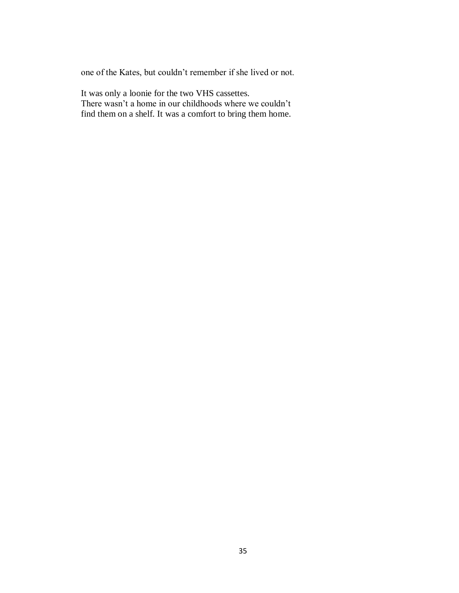one of the Kates, but couldn't remember if she lived or not.

It was only a loonie for the two VHS cassettes. There wasn't a home in our childhoods where we couldn't find them on a shelf. It was a comfort to bring them home.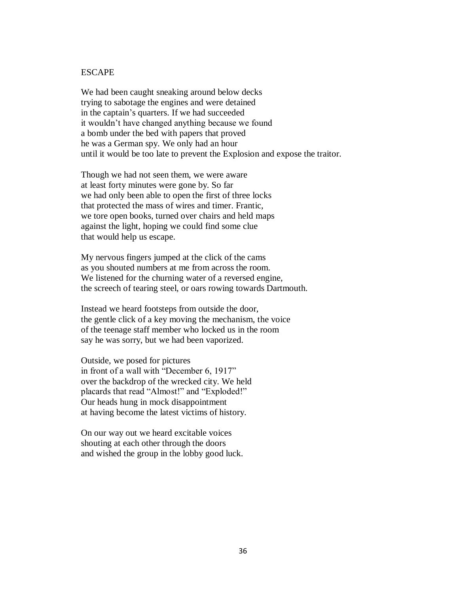### ESCAPE

We had been caught sneaking around below decks trying to sabotage the engines and were detained in the captain's quarters. If we had succeeded it wouldn't have changed anything because we found a bomb under the bed with papers that proved he was a German spy. We only had an hour until it would be too late to prevent the Explosion and expose the traitor.

Though we had not seen them, we were aware at least forty minutes were gone by. So far we had only been able to open the first of three locks that protected the mass of wires and timer. Frantic, we tore open books, turned over chairs and held maps against the light, hoping we could find some clue that would help us escape.

My nervous fingers jumped at the click of the cams as you shouted numbers at me from across the room. We listened for the churning water of a reversed engine, the screech of tearing steel, or oars rowing towards Dartmouth.

Instead we heard footsteps from outside the door, the gentle click of a key moving the mechanism, the voice of the teenage staff member who locked us in the room say he was sorry, but we had been vaporized.

Outside, we posed for pictures in front of a wall with "December 6, 1917" over the backdrop of the wrecked city. We held placards that read "Almost!" and "Exploded!" Our heads hung in mock disappointment at having become the latest victims of history.

On our way out we heard excitable voices shouting at each other through the doors and wished the group in the lobby good luck.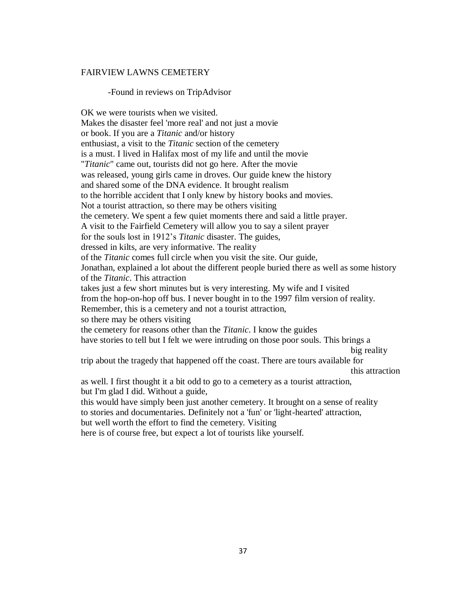#### FAIRVIEW LAWNS CEMETERY

#### -Found in reviews on TripAdvisor

OK we were tourists when we visited. Makes the disaster feel 'more real' and not just a movie or book. If you are a *Titanic* and/or history enthusiast, a visit to the *Titanic* section of the cemetery is a must. I lived in Halifax most of my life and until the movie "*Titanic*" came out, tourists did not go here. After the movie was released, young girls came in droves. Our guide knew the history and shared some of the DNA evidence. It brought realism to the horrible accident that I only knew by history books and movies. Not a tourist attraction, so there may be others visiting the cemetery. We spent a few quiet moments there and said a little prayer. A visit to the Fairfield Cemetery will allow you to say a silent prayer for the souls lost in 1912's *Titanic* disaster. The guides, dressed in kilts, are very informative. The reality of the *Titanic* comes full circle when you visit the site. Our guide, Jonathan, explained a lot about the different people buried there as well as some history of the *Titanic*. This attraction takes just a few short minutes but is very interesting. My wife and I visited from the hop-on-hop off bus. I never bought in to the 1997 film version of reality. Remember, this is a cemetery and not a tourist attraction, so there may be others visiting the cemetery for reasons other than the *Titanic*. I know the guides have stories to tell but I felt we were intruding on those poor souls. This brings a big reality trip about the tragedy that happened off the coast. There are tours available for this attraction as well. I first thought it a bit odd to go to a cemetery as a tourist attraction, but I'm glad I did. Without a guide, this would have simply been just another cemetery. It brought on a sense of reality to stories and documentaries. Definitely not a 'fun' or 'light-hearted' attraction, but well worth the effort to find the cemetery. Visiting here is of course free, but expect a lot of tourists like yourself.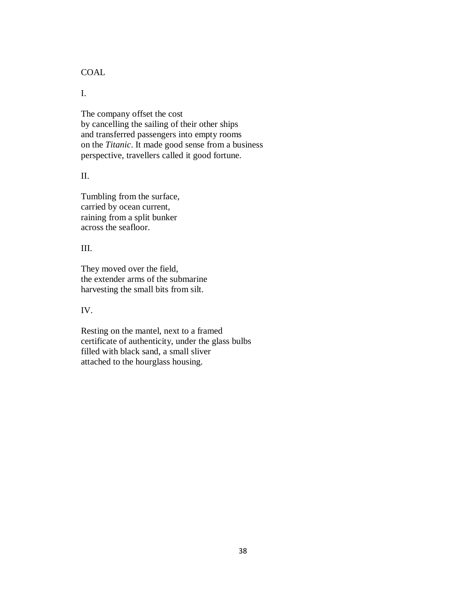**COAL** 

I.

The company offset the cost by cancelling the sailing of their other ships and transferred passengers into empty rooms on the *Titanic*. It made good sense from a business perspective, travellers called it good fortune.

II.

Tumbling from the surface, carried by ocean current, raining from a split bunker across the seafloor.

III.

They moved over the field, the extender arms of the submarine harvesting the small bits from silt.

IV.

Resting on the mantel, next to a framed certificate of authenticity, under the glass bulbs filled with black sand, a small sliver attached to the hourglass housing.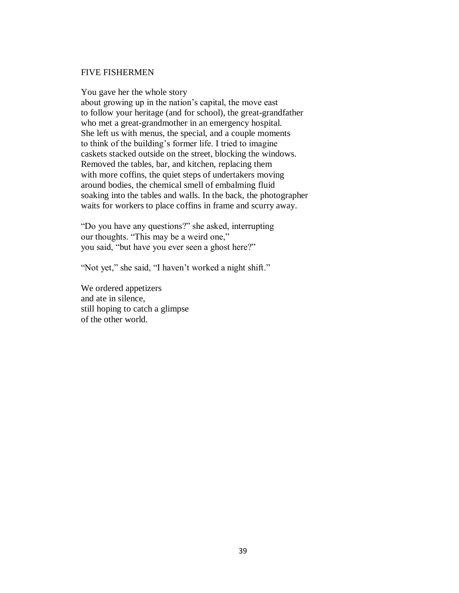#### FIVE FISHERMEN

You gave her the whole story

about growing up in the nation's capital, the move east to follow your heritage (and for school), the great-grandfather who met a great-grandmother in an emergency hospital. She left us with menus, the special, and a couple moments to think of the building's former life. I tried to imagine caskets stacked outside on the street, blocking the windows. Removed the tables, bar, and kitchen, replacing them with more coffins, the quiet steps of undertakers moving around bodies, the chemical smell of embalming fluid soaking into the tables and walls. In the back, the photographer waits for workers to place coffins in frame and scurry away.

"Do you have any questions?" she asked, interrupting our thoughts. "This may be a weird one," you said, "but have you ever seen a ghost here?"

"Not yet," she said, "I haven't worked a night shift."

We ordered appetizers and ate in silence, still hoping to catch a glimpse of the other world.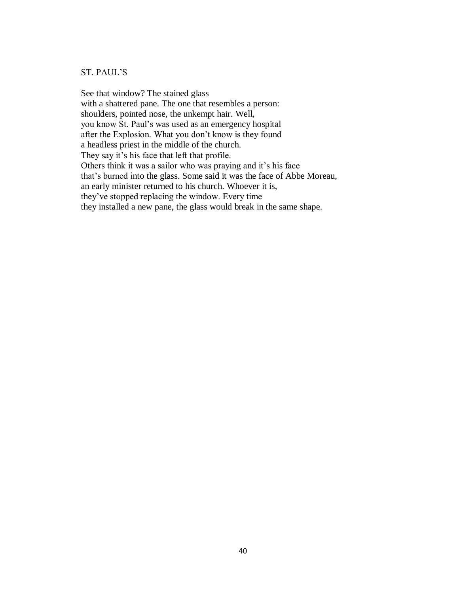# ST. PAUL'S

See that window? The stained glass with a shattered pane. The one that resembles a person: shoulders, pointed nose, the unkempt hair. Well, you know St. Paul's was used as an emergency hospital after the Explosion. What you don't know is they found a headless priest in the middle of the church. They say it's his face that left that profile. Others think it was a sailor who was praying and it's his face that's burned into the glass. Some said it was the face of Abbe Moreau, an early minister returned to his church. Whoever it is, they've stopped replacing the window. Every time they installed a new pane, the glass would break in the same shape.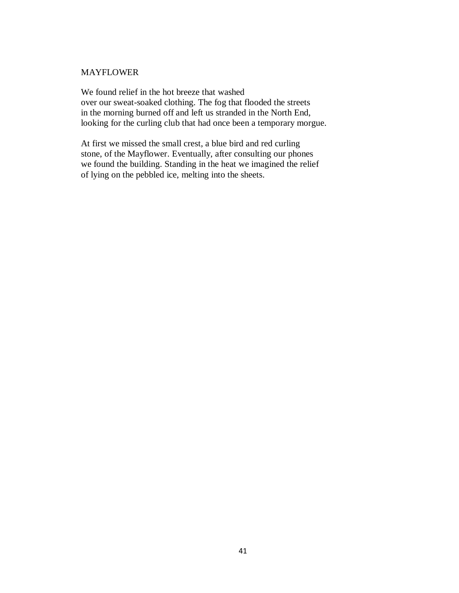## MAYFLOWER

We found relief in the hot breeze that washed over our sweat-soaked clothing. The fog that flooded the streets in the morning burned off and left us stranded in the North End, looking for the curling club that had once been a temporary morgue.

At first we missed the small crest, a blue bird and red curling stone, of the Mayflower. Eventually, after consulting our phones we found the building. Standing in the heat we imagined the relief of lying on the pebbled ice, melting into the sheets.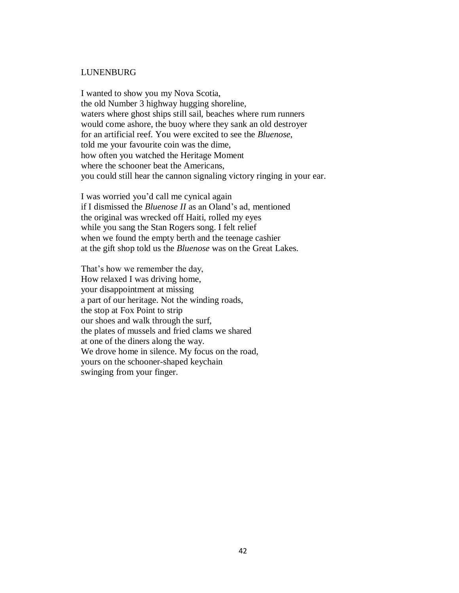#### LUNENBURG

I wanted to show you my Nova Scotia, the old Number 3 highway hugging shoreline, waters where ghost ships still sail, beaches where rum runners would come ashore, the buoy where they sank an old destroyer for an artificial reef. You were excited to see the *Bluenose*, told me your favourite coin was the dime, how often you watched the Heritage Moment where the schooner beat the Americans, you could still hear the cannon signaling victory ringing in your ear.

I was worried you'd call me cynical again if I dismissed the *Bluenose II* as an Oland's ad, mentioned the original was wrecked off Haiti, rolled my eyes while you sang the Stan Rogers song. I felt relief when we found the empty berth and the teenage cashier at the gift shop told us the *Bluenose* was on the Great Lakes.

That's how we remember the day, How relaxed I was driving home, your disappointment at missing a part of our heritage. Not the winding roads, the stop at Fox Point to strip our shoes and walk through the surf, the plates of mussels and fried clams we shared at one of the diners along the way. We drove home in silence. My focus on the road, yours on the schooner-shaped keychain swinging from your finger.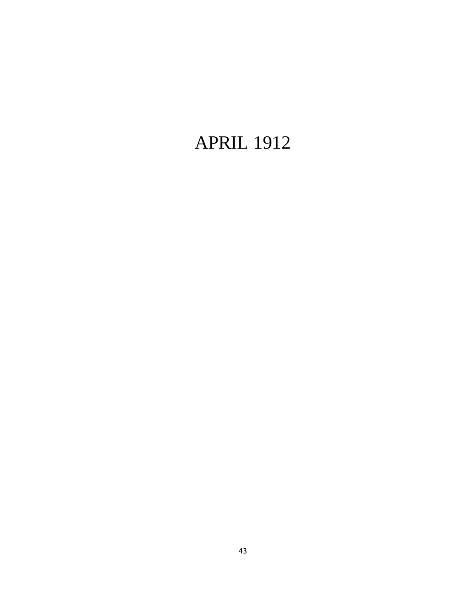# APRIL 1912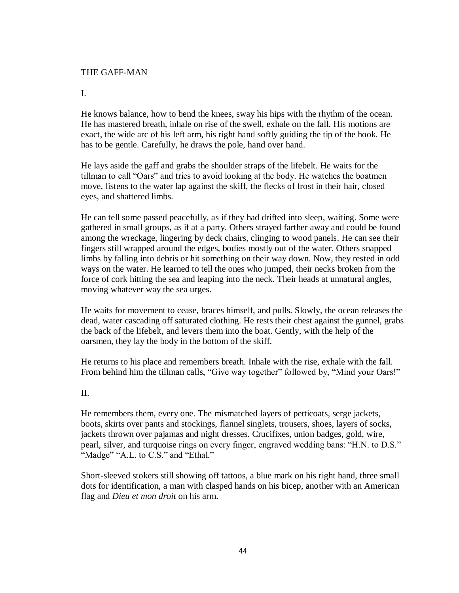## THE GAFF-MAN

I.

He knows balance, how to bend the knees, sway his hips with the rhythm of the ocean. He has mastered breath, inhale on rise of the swell, exhale on the fall. His motions are exact, the wide arc of his left arm, his right hand softly guiding the tip of the hook. He has to be gentle. Carefully, he draws the pole, hand over hand.

He lays aside the gaff and grabs the shoulder straps of the lifebelt. He waits for the tillman to call "Oars" and tries to avoid looking at the body. He watches the boatmen move, listens to the water lap against the skiff, the flecks of frost in their hair, closed eyes, and shattered limbs.

He can tell some passed peacefully, as if they had drifted into sleep, waiting. Some were gathered in small groups, as if at a party. Others strayed farther away and could be found among the wreckage, lingering by deck chairs, clinging to wood panels. He can see their fingers still wrapped around the edges, bodies mostly out of the water. Others snapped limbs by falling into debris or hit something on their way down. Now, they rested in odd ways on the water. He learned to tell the ones who jumped, their necks broken from the force of cork hitting the sea and leaping into the neck. Their heads at unnatural angles, moving whatever way the sea urges.

He waits for movement to cease, braces himself, and pulls. Slowly, the ocean releases the dead, water cascading off saturated clothing. He rests their chest against the gunnel, grabs the back of the lifebelt, and levers them into the boat. Gently, with the help of the oarsmen, they lay the body in the bottom of the skiff.

He returns to his place and remembers breath. Inhale with the rise, exhale with the fall. From behind him the tillman calls, "Give way together" followed by, "Mind your Oars!"

II.

He remembers them, every one. The mismatched layers of petticoats, serge jackets, boots, skirts over pants and stockings, flannel singlets, trousers, shoes, layers of socks, jackets thrown over pajamas and night dresses. Crucifixes, union badges, gold, wire, pearl, silver, and turquoise rings on every finger, engraved wedding bans: "H.N. to D.S." "Madge" "A.L. to C.S." and "Ethal."

Short-sleeved stokers still showing off tattoos, a blue mark on his right hand, three small dots for identification, a man with clasped hands on his bicep, another with an American flag and *Dieu et mon droit* on his arm.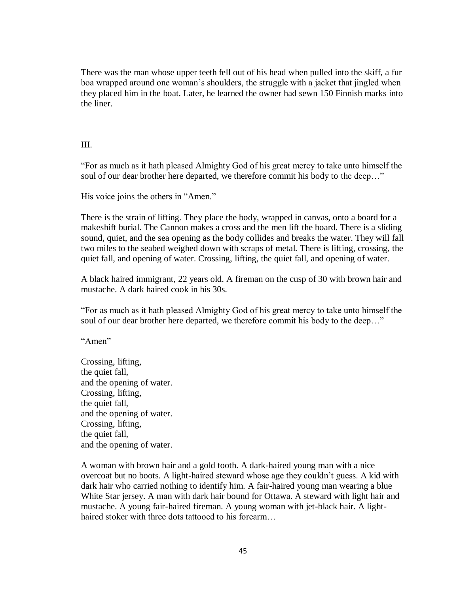There was the man whose upper teeth fell out of his head when pulled into the skiff, a fur boa wrapped around one woman's shoulders, the struggle with a jacket that jingled when they placed him in the boat. Later, he learned the owner had sewn 150 Finnish marks into the liner.

## III.

"For as much as it hath pleased Almighty God of his great mercy to take unto himself the soul of our dear brother here departed, we therefore commit his body to the deep…"

His voice joins the others in "Amen."

There is the strain of lifting. They place the body, wrapped in canvas, onto a board for a makeshift burial. The Cannon makes a cross and the men lift the board. There is a sliding sound, quiet, and the sea opening as the body collides and breaks the water. They will fall two miles to the seabed weighed down with scraps of metal. There is lifting, crossing, the quiet fall, and opening of water. Crossing, lifting, the quiet fall, and opening of water.

A black haired immigrant, 22 years old. A fireman on the cusp of 30 with brown hair and mustache. A dark haired cook in his 30s.

"For as much as it hath pleased Almighty God of his great mercy to take unto himself the soul of our dear brother here departed, we therefore commit his body to the deep…"

"Amen"

Crossing, lifting, the quiet fall, and the opening of water. Crossing, lifting, the quiet fall, and the opening of water. Crossing, lifting, the quiet fall, and the opening of water.

A woman with brown hair and a gold tooth. A dark-haired young man with a nice overcoat but no boots. A light-haired steward whose age they couldn't guess. A kid with dark hair who carried nothing to identify him. A fair-haired young man wearing a blue White Star jersey. A man with dark hair bound for Ottawa. A steward with light hair and mustache. A young fair-haired fireman. A young woman with jet-black hair. A lighthaired stoker with three dots tattooed to his forearm...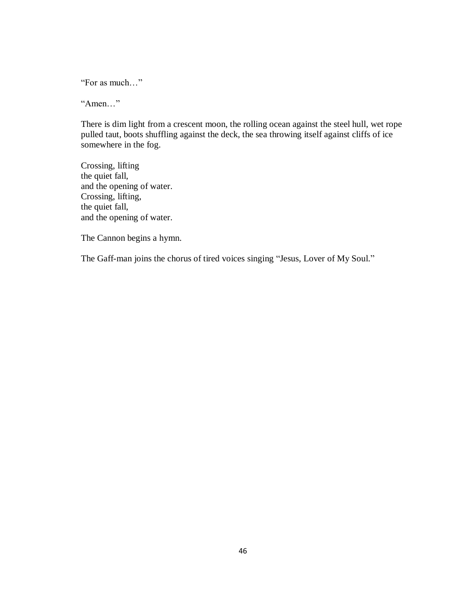"For as much…"

"Amen…"

There is dim light from a crescent moon, the rolling ocean against the steel hull, wet rope pulled taut, boots shuffling against the deck, the sea throwing itself against cliffs of ice somewhere in the fog.

Crossing, lifting the quiet fall, and the opening of water. Crossing, lifting, the quiet fall, and the opening of water.

The Cannon begins a hymn.

The Gaff-man joins the chorus of tired voices singing "Jesus, Lover of My Soul."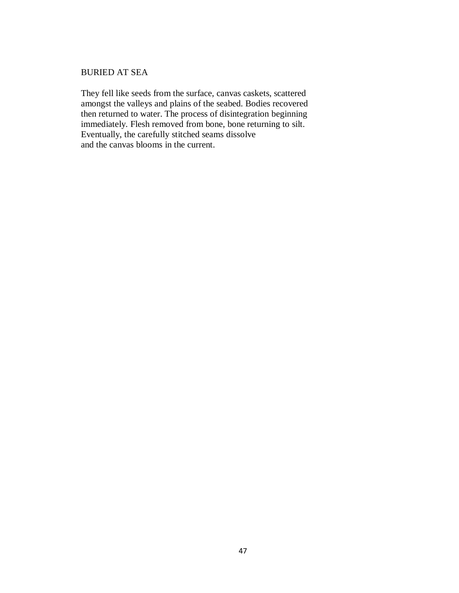## BURIED AT SEA

They fell like seeds from the surface, canvas caskets, scattered amongst the valleys and plains of the seabed. Bodies recovered then returned to water. The process of disintegration beginning immediately. Flesh removed from bone, bone returning to silt. Eventually, the carefully stitched seams dissolve and the canvas blooms in the current.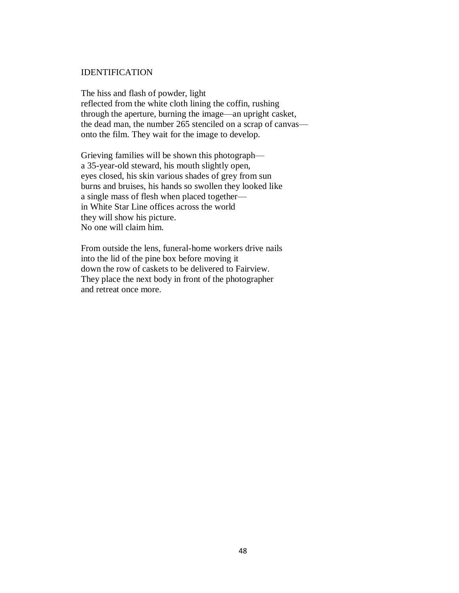#### IDENTIFICATION

The hiss and flash of powder, light reflected from the white cloth lining the coffin, rushing through the aperture, burning the image—an upright casket, the dead man, the number 265 stenciled on a scrap of canvas onto the film. They wait for the image to develop.

Grieving families will be shown this photograph a 35-year-old steward, his mouth slightly open, eyes closed, his skin various shades of grey from sun burns and bruises, his hands so swollen they looked like a single mass of flesh when placed together in White Star Line offices across the world they will show his picture. No one will claim him.

From outside the lens, funeral-home workers drive nails into the lid of the pine box before moving it down the row of caskets to be delivered to Fairview. They place the next body in front of the photographer and retreat once more.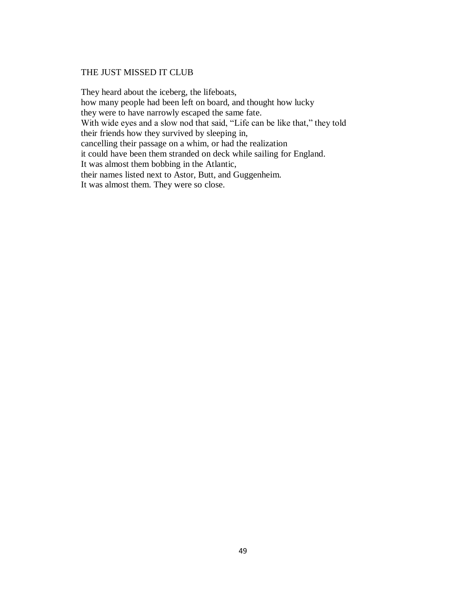# THE JUST MISSED IT CLUB

They heard about the iceberg, the lifeboats, how many people had been left on board, and thought how lucky they were to have narrowly escaped the same fate. With wide eyes and a slow nod that said, "Life can be like that," they told their friends how they survived by sleeping in, cancelling their passage on a whim, or had the realization it could have been them stranded on deck while sailing for England. It was almost them bobbing in the Atlantic, their names listed next to Astor, Butt, and Guggenheim. It was almost them. They were so close.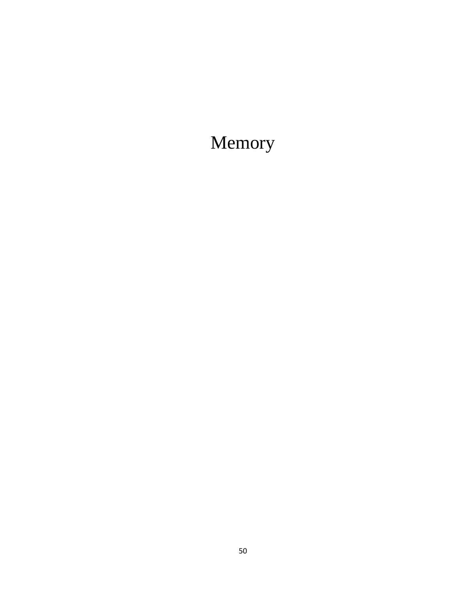# Memory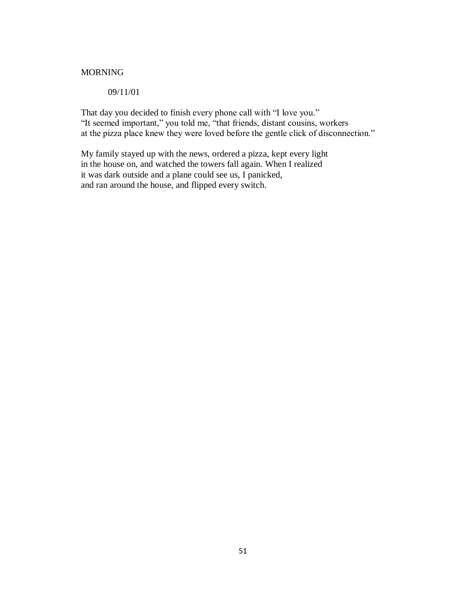# MORNING

09/11/01

That day you decided to finish every phone call with "I love you." "It seemed important," you told me, "that friends, distant cousins, workers at the pizza place knew they were loved before the gentle click of disconnection."

My family stayed up with the news, ordered a pizza, kept every light in the house on, and watched the towers fall again. When I realized it was dark outside and a plane could see us, I panicked, and ran around the house, and flipped every switch.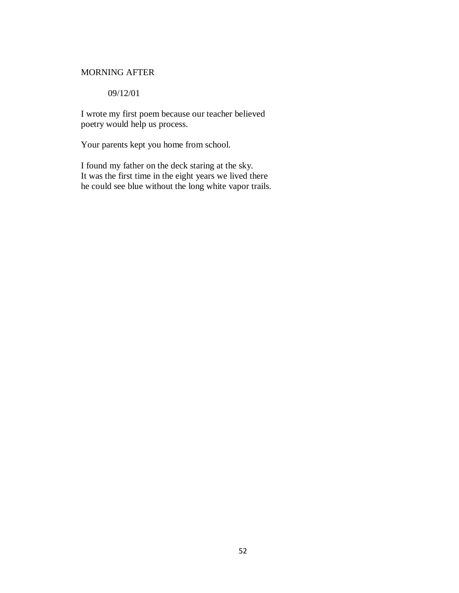## MORNING AFTER

09/12/01

I wrote my first poem because our teacher believed poetry would help us process.

Your parents kept you home from school.

I found my father on the deck staring at the sky. It was the first time in the eight years we lived there he could see blue without the long white vapor trails.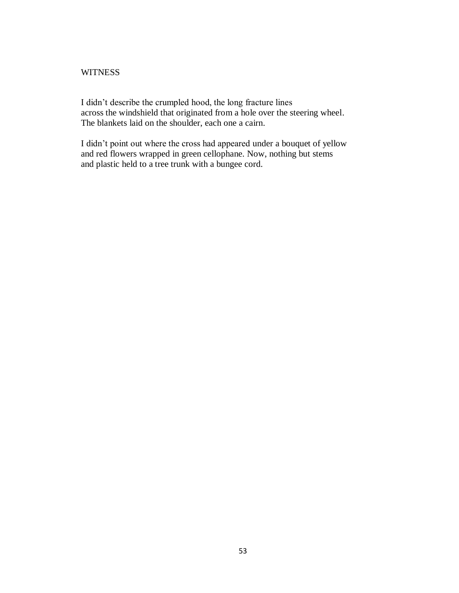## **WITNESS**

I didn't describe the crumpled hood, the long fracture lines across the windshield that originated from a hole over the steering wheel. The blankets laid on the shoulder, each one a cairn.

I didn't point out where the cross had appeared under a bouquet of yellow and red flowers wrapped in green cellophane. Now, nothing but stems and plastic held to a tree trunk with a bungee cord.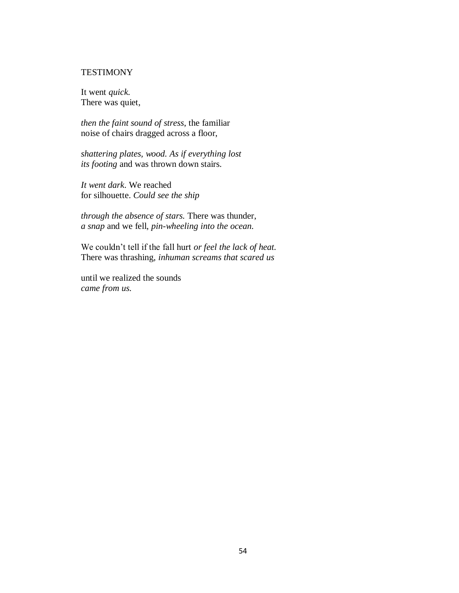## **TESTIMONY**

It went *quick*. There was quiet,

*then the faint sound of stress*, the familiar noise of chairs dragged across a floor,

*shattering plates, wood. As if everything lost its footing* and was thrown down stairs.

*It went dark*. We reached for silhouette. *Could see the ship*

*through the absence of stars.* There was thunder, *a snap* and we fell, *pin-wheeling into the ocean.*

We couldn't tell if the fall hurt *or feel the lack of heat.*  There was thrashing, *inhuman screams that scared us*

until we realized the sounds *came from us.*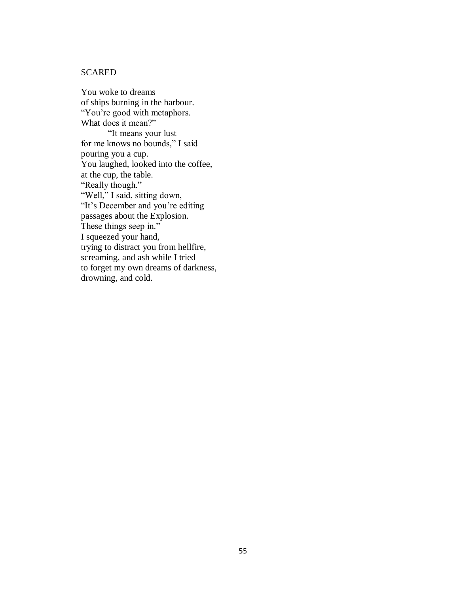# **SCARED**

You woke to dreams of ships burning in the harbour. "You're good with metaphors. What does it mean?" "It means your lust for me knows no bounds," I said pouring you a cup. You laughed, looked into the coffee, at the cup, the table. "Really though." "Well," I said, sitting down, "It's December and you're editing passages about the Explosion. These things seep in." I squeezed your hand, trying to distract you from hellfire, screaming, and ash while I tried to forget my own dreams of darkness, drowning, and cold.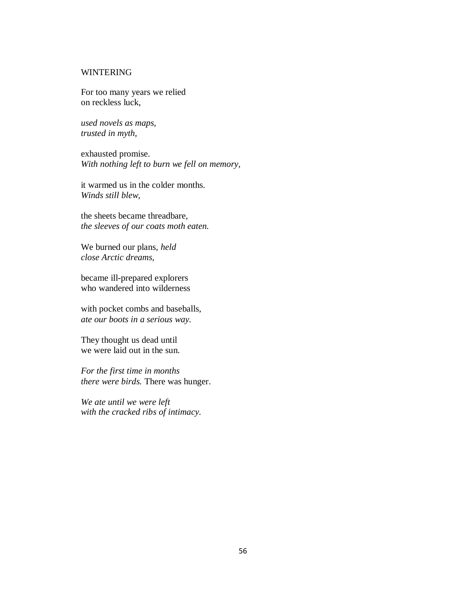## WINTERING

For too many years we relied on reckless luck,

*used novels as maps, trusted in myth,*

exhausted promise. *With nothing left to burn we fell on memory,*

it warmed us in the colder months. *Winds still blew,*

the sheets became threadbare, *the sleeves of our coats moth eaten.*

We burned our plans, *held close Arctic dreams,*

became ill-prepared explorers who wandered into wilderness

with pocket combs and baseballs, *ate our boots in a serious way.*

They thought us dead until we were laid out in the sun.

*For the first time in months there were birds.* There was hunger.

*We ate until we were left with the cracked ribs of intimacy.*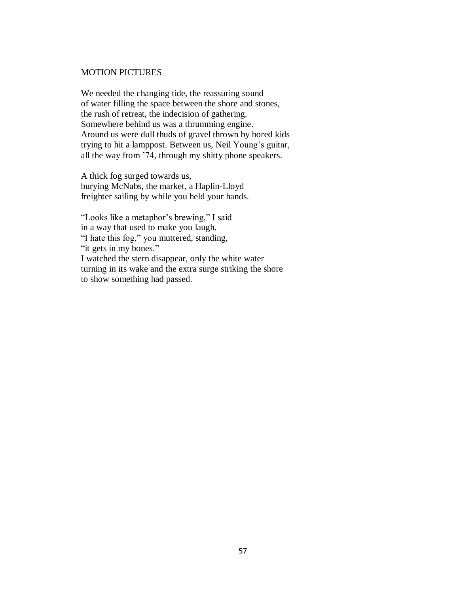## MOTION PICTURES

We needed the changing tide, the reassuring sound of water filling the space between the shore and stones, the rush of retreat, the indecision of gathering. Somewhere behind us was a thrumming engine. Around us were dull thuds of gravel thrown by bored kids trying to hit a lamppost. Between us, Neil Young's guitar, all the way from '74, through my shitty phone speakers.

A thick fog surged towards us, burying McNabs, the market, a Haplin-Lloyd freighter sailing by while you held your hands.

"Looks like a metaphor's brewing," I said in a way that used to make you laugh. "I hate this fog," you muttered, standing, "it gets in my bones." I watched the stern disappear, only the white water turning in its wake and the extra surge striking the shore to show something had passed.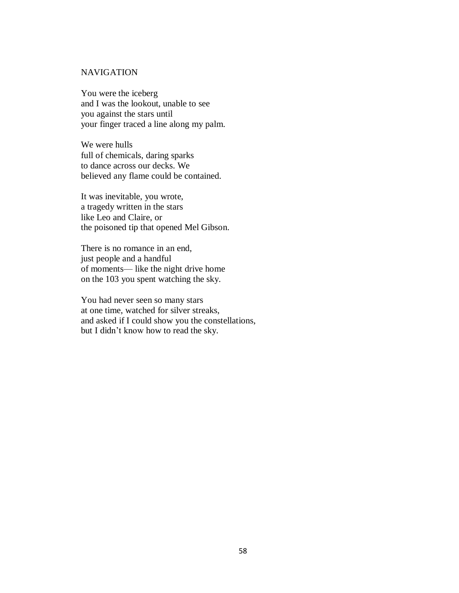# **NAVIGATION**

You were the iceberg and I was the lookout, unable to see you against the stars until your finger traced a line along my palm.

We were hulls full of chemicals, daring sparks to dance across our decks. We believed any flame could be contained.

It was inevitable, you wrote, a tragedy written in the stars like Leo and Claire, or the poisoned tip that opened Mel Gibson.

There is no romance in an end, just people and a handful of moments— like the night drive home on the 103 you spent watching the sky.

You had never seen so many stars at one time, watched for silver streaks, and asked if I could show you the constellations, but I didn't know how to read the sky.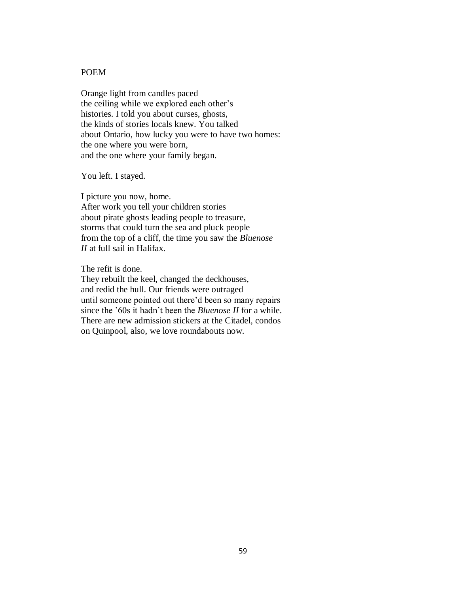# POEM

Orange light from candles paced the ceiling while we explored each other's histories. I told you about curses, ghosts, the kinds of stories locals knew. You talked about Ontario, how lucky you were to have two homes: the one where you were born, and the one where your family began.

You left. I stayed.

I picture you now, home.

After work you tell your children stories about pirate ghosts leading people to treasure, storms that could turn the sea and pluck people from the top of a cliff, the time you saw the *Bluenose II* at full sail in Halifax.

The refit is done.

They rebuilt the keel, changed the deckhouses, and redid the hull. Our friends were outraged until someone pointed out there'd been so many repairs since the '60s it hadn't been the *Bluenose II* for a while. There are new admission stickers at the Citadel, condos on Quinpool, also, we love roundabouts now.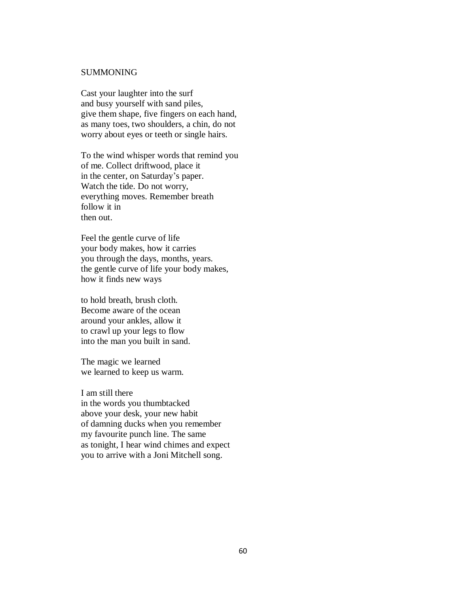#### SUMMONING

Cast your laughter into the surf and busy yourself with sand piles, give them shape, five fingers on each hand, as many toes, two shoulders, a chin, do not worry about eyes or teeth or single hairs.

To the wind whisper words that remind you of me. Collect driftwood, place it in the center, on Saturday's paper. Watch the tide. Do not worry, everything moves. Remember breath follow it in then out.

Feel the gentle curve of life your body makes, how it carries you through the days, months, years. the gentle curve of life your body makes, how it finds new ways

to hold breath, brush cloth. Become aware of the ocean around your ankles, allow it to crawl up your legs to flow into the man you built in sand.

The magic we learned we learned to keep us warm.

I am still there in the words you thumbtacked above your desk, your new habit of damning ducks when you remember my favourite punch line. The same as tonight, I hear wind chimes and expect you to arrive with a Joni Mitchell song.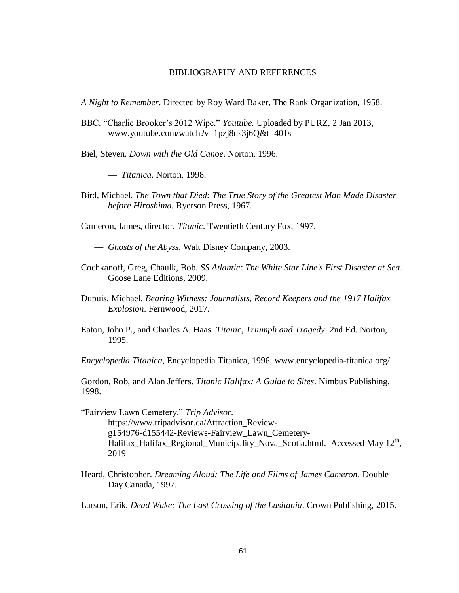#### BIBLIOGRAPHY AND REFERENCES

*A Night to Remember*. Directed by Roy Ward Baker, The Rank Organization, 1958.

- BBC. "Charlie Brooker's 2012 Wipe." *Youtube.* Uploaded by PURZ, 2 Jan 2013, www.youtube.com/watch?v=1pzj8qs3j6Q&t=401s
- Biel, Steven. *Down with the Old Canoe*. Norton, 1996.

— *Titanica*. Norton, 1998.

Bird, Michael. *The Town that Died: The True Story of the Greatest Man Made Disaster before Hiroshima.* Ryerson Press, 1967.

Cameron, James, director. *Titanic*. Twentieth Century Fox, 1997.

— *Ghosts of the Abyss*. Walt Disney Company, 2003.

- Cochkanoff, Greg, Chaulk, Bob. *SS Atlantic: The White Star Line's First Disaster at Sea*. Goose Lane Editions, 2009.
- Dupuis, Michael. *Bearing Witness: Journalists, Record Keepers and the 1917 Halifax Explosion*. Fernwood, 2017.
- Eaton, John P., and Charles A. Haas. *Titanic, Triumph and Tragedy*. 2nd Ed. Norton, 1995.

*Encyclopedia Titanica*, Encyclopedia Titanica, 1996, www.encyclopedia-titanica.org/

Gordon, Rob, and Alan Jeffers. *Titanic Halifax: A Guide to Sites*. Nimbus Publishing, 1998.

"Fairview Lawn Cemetery." *Trip Advisor*. https://www.tripadvisor.ca/Attraction\_Reviewg154976-d155442-Reviews-Fairview\_Lawn\_Cemetery- $H$ alifax\_Halifax\_Regional\_Municipality\_Nova\_Scotia.html. Accessed May  $12<sup>th</sup>$ , 2019

Heard, Christopher. *Dreaming Aloud: The Life and Films of James Cameron.* Double Day Canada, 1997.

Larson, Erik. *Dead Wake: The Last Crossing of the Lusitania*. Crown Publishing, 2015.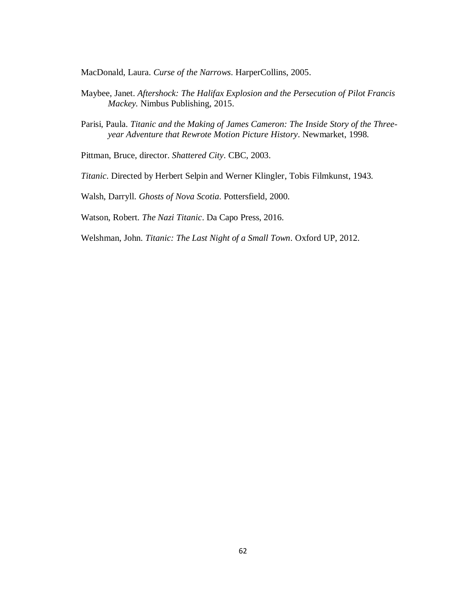MacDonald, Laura. *Curse of the Narrows*. HarperCollins, 2005.

- Maybee, Janet. *Aftershock: The Halifax Explosion and the Persecution of Pilot Francis Mackey.* Nimbus Publishing, 2015.
- Parisi, Paula. *Titanic and the Making of James Cameron: The Inside Story of the Threeyear Adventure that Rewrote Motion Picture History*. Newmarket, 1998.

Pittman, Bruce, director. *Shattered City*. CBC, 2003.

*Titanic*. Directed by Herbert Selpin and Werner Klingler, Tobis Filmkunst, 1943.

Walsh, Darryll. *Ghosts of Nova Scotia*. Pottersfield, 2000.

Watson, Robert. *The Nazi Titanic*. Da Capo Press, 2016.

Welshman, John. *Titanic: The Last Night of a Small Town*. Oxford UP, 2012.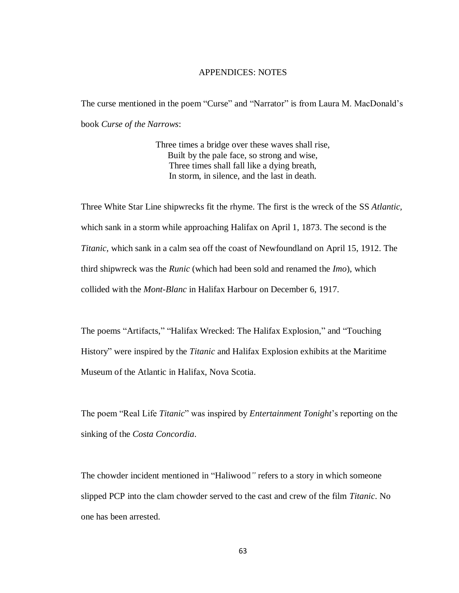## APPENDICES: NOTES

The curse mentioned in the poem "Curse" and "Narrator" is from Laura M. MacDonald's book *Curse of the Narrows*:

> Three times a bridge over these waves shall rise, Built by the pale face, so strong and wise, Three times shall fall like a dying breath, In storm, in silence, and the last in death.

Three White Star Line shipwrecks fit the rhyme. The first is the wreck of the SS *Atlantic,* which sank in a storm while approaching Halifax on April 1, 1873. The second is the *Titanic,* which sank in a calm sea off the coast of Newfoundland on April 15, 1912. The third shipwreck was the *Runic* (which had been sold and renamed the *Imo*), which collided with the *Mont-Blanc* in Halifax Harbour on December 6, 1917.

The poems "Artifacts," "Halifax Wrecked: The Halifax Explosion," and "Touching History" were inspired by the *Titanic* and Halifax Explosion exhibits at the Maritime Museum of the Atlantic in Halifax, Nova Scotia.

The poem "Real Life *Titanic*" was inspired by *Entertainment Tonight*'s reporting on the sinking of the *Costa Concordia*.

The chowder incident mentioned in "Haliwood*"* refers to a story in which someone slipped PCP into the clam chowder served to the cast and crew of the film *Titanic*. No one has been arrested.